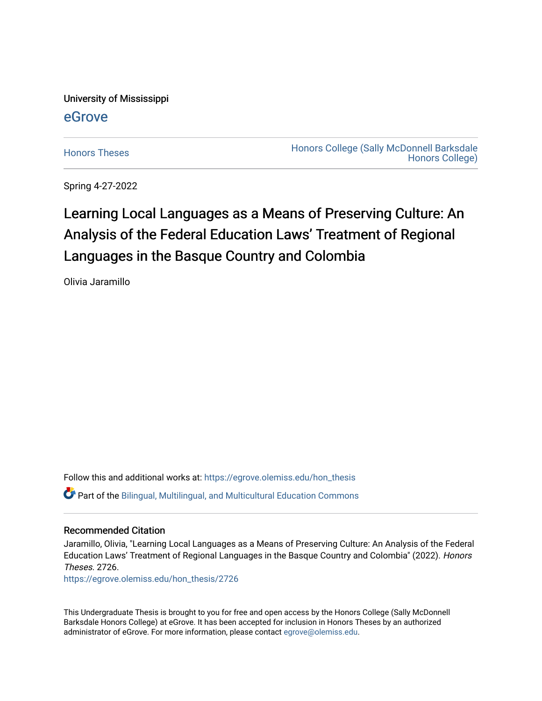University of Mississippi

# [eGrove](https://egrove.olemiss.edu/)

[Honors Theses](https://egrove.olemiss.edu/hon_thesis) **Honors College (Sally McDonnell Barksdale** [Honors College\)](https://egrove.olemiss.edu/honors) 

Spring 4-27-2022

# Learning Local Languages as a Means of Preserving Culture: An Analysis of the Federal Education Laws' Treatment of Regional Languages in the Basque Country and Colombia

Olivia Jaramillo

Follow this and additional works at: [https://egrove.olemiss.edu/hon\\_thesis](https://egrove.olemiss.edu/hon_thesis?utm_source=egrove.olemiss.edu%2Fhon_thesis%2F2726&utm_medium=PDF&utm_campaign=PDFCoverPages)  Part of the [Bilingual, Multilingual, and Multicultural Education Commons](https://network.bepress.com/hgg/discipline/785?utm_source=egrove.olemiss.edu%2Fhon_thesis%2F2726&utm_medium=PDF&utm_campaign=PDFCoverPages) 

# Recommended Citation

Jaramillo, Olivia, "Learning Local Languages as a Means of Preserving Culture: An Analysis of the Federal Education Laws' Treatment of Regional Languages in the Basque Country and Colombia" (2022). Honors Theses. 2726.

[https://egrove.olemiss.edu/hon\\_thesis/2726](https://egrove.olemiss.edu/hon_thesis/2726?utm_source=egrove.olemiss.edu%2Fhon_thesis%2F2726&utm_medium=PDF&utm_campaign=PDFCoverPages) 

This Undergraduate Thesis is brought to you for free and open access by the Honors College (Sally McDonnell Barksdale Honors College) at eGrove. It has been accepted for inclusion in Honors Theses by an authorized administrator of eGrove. For more information, please contact [egrove@olemiss.edu](mailto:egrove@olemiss.edu).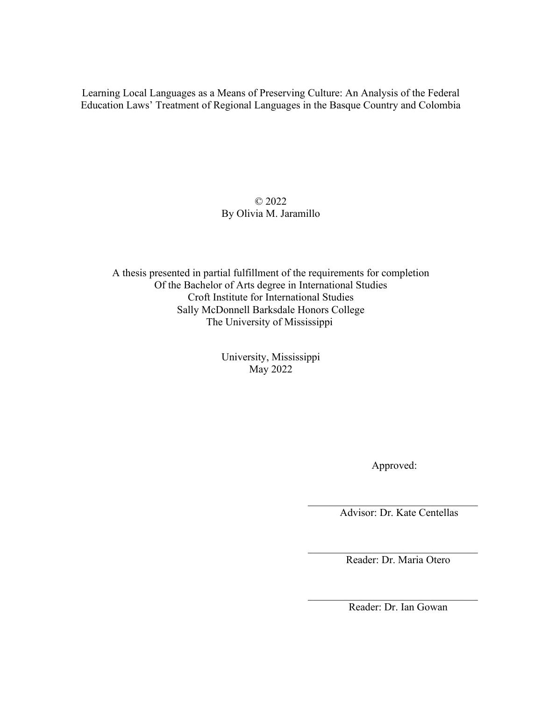Learning Local Languages as a Means of Preserving Culture: An Analysis of the Federal Education Laws' Treatment of Regional Languages in the Basque Country and Colombia

> © 2022 By Olivia M. Jaramillo

A thesis presented in partial fulfillment of the requirements for completion Of the Bachelor of Arts degree in International Studies Croft Institute for International Studies Sally McDonnell Barksdale Honors College The University of Mississippi

> University, Mississippi May 2022

> > Approved:

 $\mathcal{L}_\text{max}$  , where  $\mathcal{L}_\text{max}$  and  $\mathcal{L}_\text{max}$  and  $\mathcal{L}_\text{max}$ 

Advisor: Dr. Kate Centellas

 $\mathcal{L}_\text{max}$  , where  $\mathcal{L}_\text{max}$  and  $\mathcal{L}_\text{max}$  and  $\mathcal{L}_\text{max}$ Reader: Dr. Maria Otero

 $\mathcal{L}_\text{max}$  , where  $\mathcal{L}_\text{max}$  and  $\mathcal{L}_\text{max}$  and  $\mathcal{L}_\text{max}$ Reader: Dr. Ian Gowan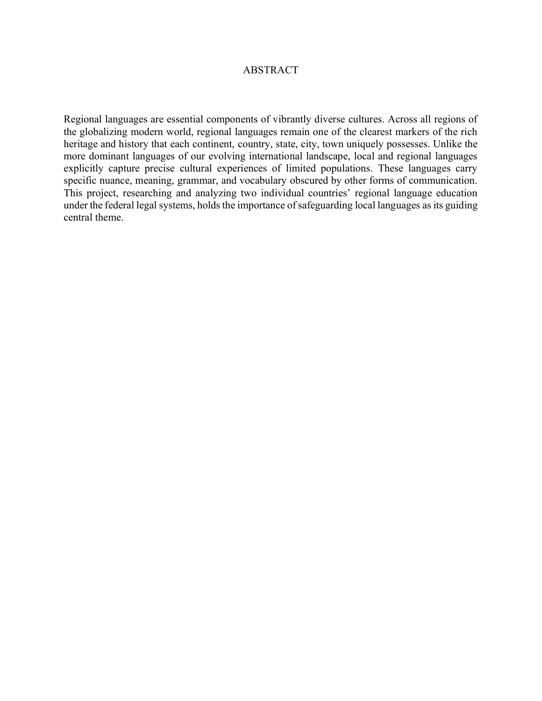# ABSTRACT

Regional languages are essential components of vibrantly diverse cultures. Across all regions of the globalizing modern world, regional languages remain one of the clearest markers of the rich heritage and history that each continent, country, state, city, town uniquely possesses. Unlike the more dominant languages of our evolving international landscape, local and regional languages explicitly capture precise cultural experiences of limited populations. These languages carry specific nuance, meaning, grammar, and vocabulary obscured by other forms of communication. This project, researching and analyzing two individual countries' regional language education under the federal legal systems, holds the importance of safeguarding local languages as its guiding central theme.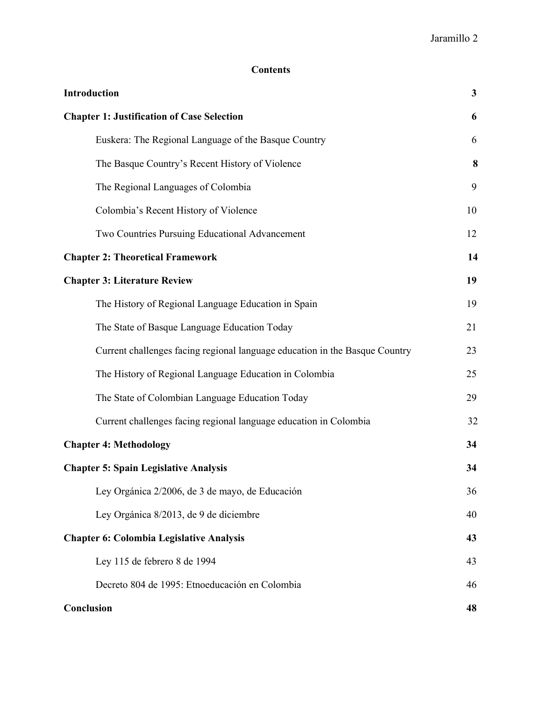# **Contents**

| Introduction                                                                | $\mathbf{3}$ |
|-----------------------------------------------------------------------------|--------------|
| <b>Chapter 1: Justification of Case Selection</b>                           | 6            |
| Euskera: The Regional Language of the Basque Country                        | 6            |
| The Basque Country's Recent History of Violence                             | 8            |
| The Regional Languages of Colombia                                          | 9            |
| Colombia's Recent History of Violence                                       | 10           |
| Two Countries Pursuing Educational Advancement                              | 12           |
| <b>Chapter 2: Theoretical Framework</b>                                     | 14           |
| <b>Chapter 3: Literature Review</b>                                         | 19           |
| The History of Regional Language Education in Spain                         | 19           |
| The State of Basque Language Education Today                                | 21           |
| Current challenges facing regional language education in the Basque Country | 23           |
| The History of Regional Language Education in Colombia                      | 25           |
| The State of Colombian Language Education Today                             | 29           |
| Current challenges facing regional language education in Colombia           | 32           |
| <b>Chapter 4: Methodology</b>                                               | 34           |
| <b>Chapter 5: Spain Legislative Analysis</b>                                | 34           |
| Ley Orgánica 2/2006, de 3 de mayo, de Educación                             | 36           |
| Ley Orgánica 8/2013, de 9 de diciembre                                      | 40           |
| <b>Chapter 6: Colombia Legislative Analysis</b>                             | 43           |
| Ley 115 de febrero 8 de 1994                                                | 43           |
| Decreto 804 de 1995: Etnoeducación en Colombia                              | 46           |
| Conclusion                                                                  | 48           |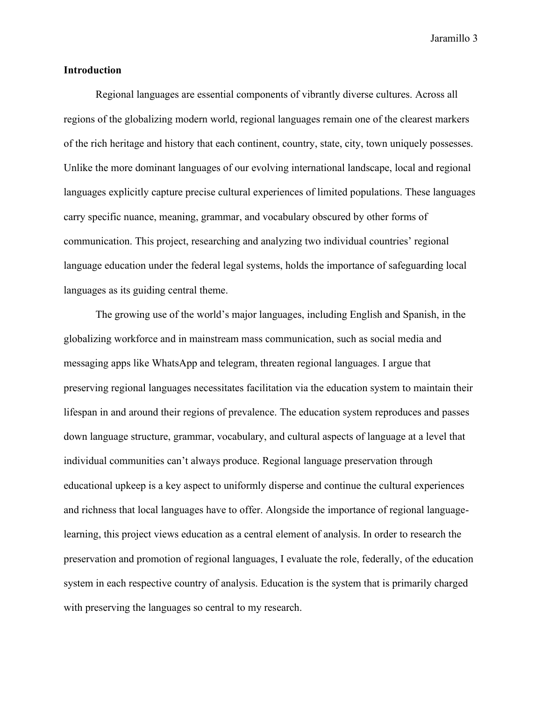# **Introduction**

Regional languages are essential components of vibrantly diverse cultures. Across all regions of the globalizing modern world, regional languages remain one of the clearest markers of the rich heritage and history that each continent, country, state, city, town uniquely possesses. Unlike the more dominant languages of our evolving international landscape, local and regional languages explicitly capture precise cultural experiences of limited populations. These languages carry specific nuance, meaning, grammar, and vocabulary obscured by other forms of communication. This project, researching and analyzing two individual countries' regional language education under the federal legal systems, holds the importance of safeguarding local languages as its guiding central theme.

The growing use of the world's major languages, including English and Spanish, in the globalizing workforce and in mainstream mass communication, such as social media and messaging apps like WhatsApp and telegram, threaten regional languages. I argue that preserving regional languages necessitates facilitation via the education system to maintain their lifespan in and around their regions of prevalence. The education system reproduces and passes down language structure, grammar, vocabulary, and cultural aspects of language at a level that individual communities can't always produce. Regional language preservation through educational upkeep is a key aspect to uniformly disperse and continue the cultural experiences and richness that local languages have to offer. Alongside the importance of regional languagelearning, this project views education as a central element of analysis. In order to research the preservation and promotion of regional languages, I evaluate the role, federally, of the education system in each respective country of analysis. Education is the system that is primarily charged with preserving the languages so central to my research.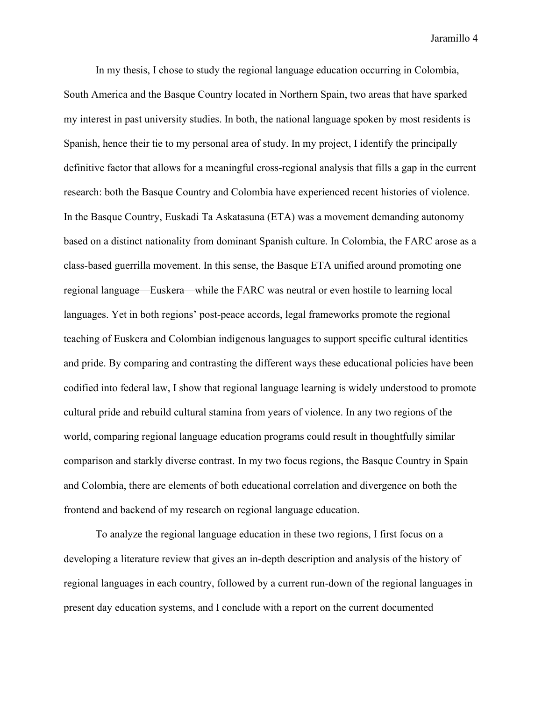In my thesis, I chose to study the regional language education occurring in Colombia, South America and the Basque Country located in Northern Spain, two areas that have sparked my interest in past university studies. In both, the national language spoken by most residents is Spanish, hence their tie to my personal area of study. In my project, I identify the principally definitive factor that allows for a meaningful cross-regional analysis that fills a gap in the current research: both the Basque Country and Colombia have experienced recent histories of violence. In the Basque Country, Euskadi Ta Askatasuna (ETA) was a movement demanding autonomy based on a distinct nationality from dominant Spanish culture. In Colombia, the FARC arose as a class-based guerrilla movement. In this sense, the Basque ETA unified around promoting one regional language—Euskera—while the FARC was neutral or even hostile to learning local languages. Yet in both regions' post-peace accords, legal frameworks promote the regional teaching of Euskera and Colombian indigenous languages to support specific cultural identities and pride. By comparing and contrasting the different ways these educational policies have been codified into federal law, I show that regional language learning is widely understood to promote cultural pride and rebuild cultural stamina from years of violence. In any two regions of the world, comparing regional language education programs could result in thoughtfully similar comparison and starkly diverse contrast. In my two focus regions, the Basque Country in Spain and Colombia, there are elements of both educational correlation and divergence on both the frontend and backend of my research on regional language education.

To analyze the regional language education in these two regions, I first focus on a developing a literature review that gives an in-depth description and analysis of the history of regional languages in each country, followed by a current run-down of the regional languages in present day education systems, and I conclude with a report on the current documented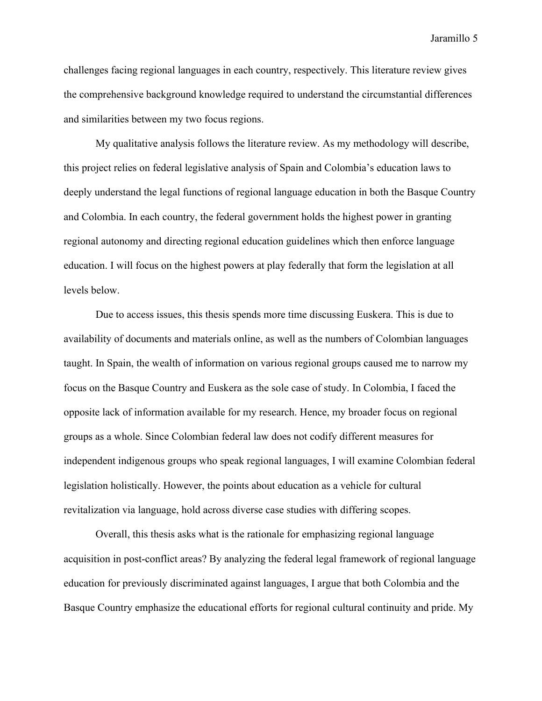challenges facing regional languages in each country, respectively. This literature review gives the comprehensive background knowledge required to understand the circumstantial differences and similarities between my two focus regions.

My qualitative analysis follows the literature review. As my methodology will describe, this project relies on federal legislative analysis of Spain and Colombia's education laws to deeply understand the legal functions of regional language education in both the Basque Country and Colombia. In each country, the federal government holds the highest power in granting regional autonomy and directing regional education guidelines which then enforce language education. I will focus on the highest powers at play federally that form the legislation at all levels below.

Due to access issues, this thesis spends more time discussing Euskera. This is due to availability of documents and materials online, as well as the numbers of Colombian languages taught. In Spain, the wealth of information on various regional groups caused me to narrow my focus on the Basque Country and Euskera as the sole case of study. In Colombia, I faced the opposite lack of information available for my research. Hence, my broader focus on regional groups as a whole. Since Colombian federal law does not codify different measures for independent indigenous groups who speak regional languages, I will examine Colombian federal legislation holistically. However, the points about education as a vehicle for cultural revitalization via language, hold across diverse case studies with differing scopes.

Overall, this thesis asks what is the rationale for emphasizing regional language acquisition in post-conflict areas? By analyzing the federal legal framework of regional language education for previously discriminated against languages, I argue that both Colombia and the Basque Country emphasize the educational efforts for regional cultural continuity and pride. My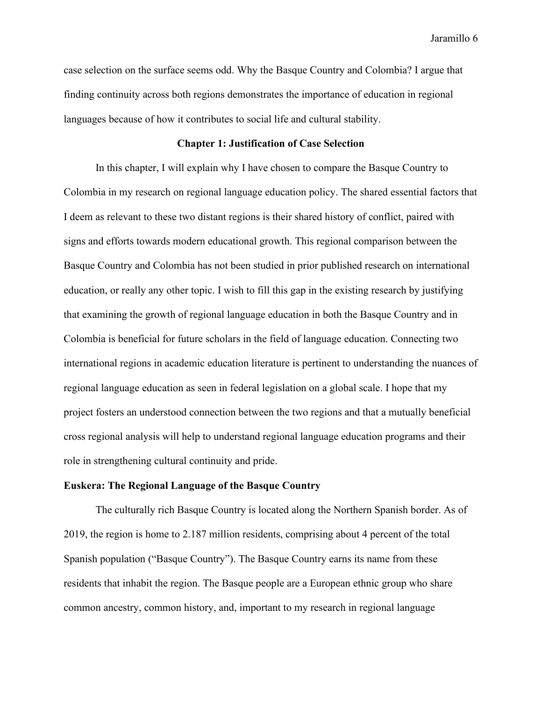case selection on the surface seems odd. Why the Basque Country and Colombia? I argue that finding continuity across both regions demonstrates the importance of education in regional languages because of how it contributes to social life and cultural stability.

# **Chapter 1: Justification of Case Selection**

In this chapter, I will explain why I have chosen to compare the Basque Country to Colombia in my research on regional language education policy. The shared essential factors that I deem as relevant to these two distant regions is their shared history of conflict, paired with signs and efforts towards modern educational growth. This regional comparison between the Basque Country and Colombia has not been studied in prior published research on international education, or really any other topic. I wish to fill this gap in the existing research by justifying that examining the growth of regional language education in both the Basque Country and in Colombia is beneficial for future scholars in the field of language education. Connecting two international regions in academic education literature is pertinent to understanding the nuances of regional language education as seen in federal legislation on a global scale. I hope that my project fosters an understood connection between the two regions and that a mutually beneficial cross regional analysis will help to understand regional language education programs and their role in strengthening cultural continuity and pride.

# **Euskera: The Regional Language of the Basque Country**

The culturally rich Basque Country is located along the Northern Spanish border. As of 2019, the region is home to 2.187 million residents, comprising about 4 percent of the total Spanish population ("Basque Country"). The Basque Country earns its name from these residents that inhabit the region. The Basque people are a European ethnic group who share common ancestry, common history, and, important to my research in regional language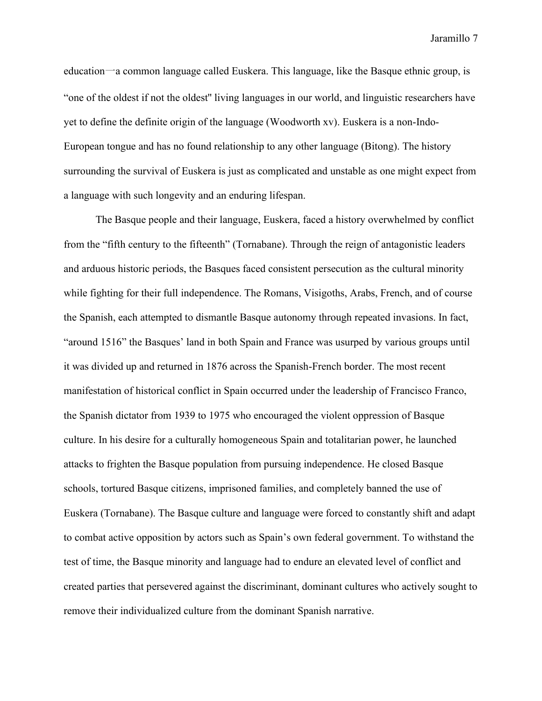education一a common language called Euskera. This language, like the Basque ethnic group, is "one of the oldest if not the oldest'' living languages in our world, and linguistic researchers have yet to define the definite origin of the language (Woodworth xv). Euskera is a non-Indo-European tongue and has no found relationship to any other language (Bitong). The history surrounding the survival of Euskera is just as complicated and unstable as one might expect from a language with such longevity and an enduring lifespan.

The Basque people and their language, Euskera, faced a history overwhelmed by conflict from the "fifth century to the fifteenth" (Tornabane). Through the reign of antagonistic leaders and arduous historic periods, the Basques faced consistent persecution as the cultural minority while fighting for their full independence. The Romans, Visigoths, Arabs, French, and of course the Spanish, each attempted to dismantle Basque autonomy through repeated invasions. In fact, "around 1516" the Basques' land in both Spain and France was usurped by various groups until it was divided up and returned in 1876 across the Spanish-French border. The most recent manifestation of historical conflict in Spain occurred under the leadership of Francisco Franco, the Spanish dictator from 1939 to 1975 who encouraged the violent oppression of Basque culture. In his desire for a culturally homogeneous Spain and totalitarian power, he launched attacks to frighten the Basque population from pursuing independence. He closed Basque schools, tortured Basque citizens, imprisoned families, and completely banned the use of Euskera (Tornabane). The Basque culture and language were forced to constantly shift and adapt to combat active opposition by actors such as Spain's own federal government. To withstand the test of time, the Basque minority and language had to endure an elevated level of conflict and created parties that persevered against the discriminant, dominant cultures who actively sought to remove their individualized culture from the dominant Spanish narrative.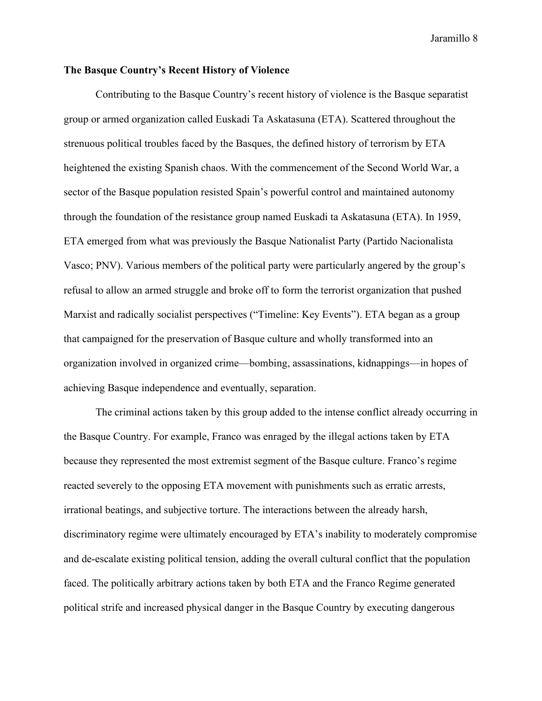# **The Basque Country's Recent History of Violence**

Contributing to the Basque Country's recent history of violence is the Basque separatist group or armed organization called Euskadi Ta Askatasuna (ETA). Scattered throughout the strenuous political troubles faced by the Basques, the defined history of terrorism by ETA heightened the existing Spanish chaos. With the commencement of the Second World War, a sector of the Basque population resisted Spain's powerful control and maintained autonomy through the foundation of the resistance group named Euskadi ta Askatasuna (ETA). In 1959, ETA emerged from what was previously the Basque Nationalist Party (Partido Nacionalista Vasco; PNV). Various members of the political party were particularly angered by the group's refusal to allow an armed struggle and broke off to form the terrorist organization that pushed Marxist and radically socialist perspectives ("Timeline: Key Events"). ETA began as a group that campaigned for the preservation of Basque culture and wholly transformed into an organization involved in organized crime—bombing, assassinations, kidnappings—in hopes of achieving Basque independence and eventually, separation.

The criminal actions taken by this group added to the intense conflict already occurring in the Basque Country. For example, Franco was enraged by the illegal actions taken by ETA because they represented the most extremist segment of the Basque culture. Franco's regime reacted severely to the opposing ETA movement with punishments such as erratic arrests, irrational beatings, and subjective torture. The interactions between the already harsh, discriminatory regime were ultimately encouraged by ETA's inability to moderately compromise and de-escalate existing political tension, adding the overall cultural conflict that the population faced. The politically arbitrary actions taken by both ETA and the Franco Regime generated political strife and increased physical danger in the Basque Country by executing dangerous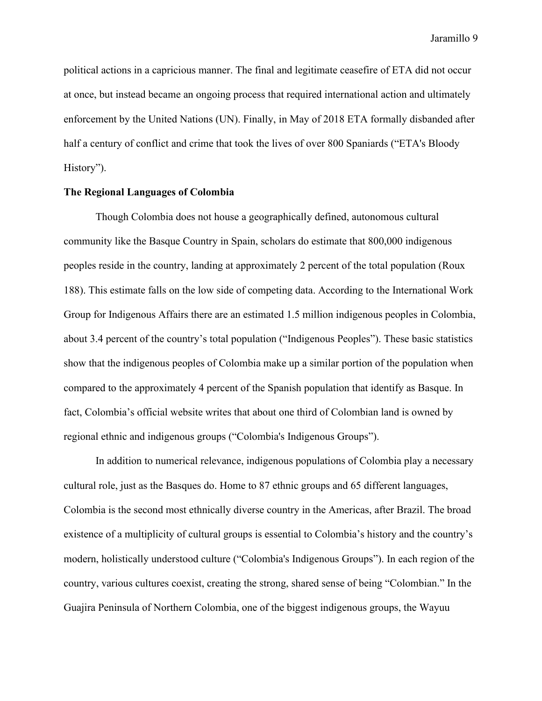political actions in a capricious manner. The final and legitimate ceasefire of ETA did not occur at once, but instead became an ongoing process that required international action and ultimately enforcement by the United Nations (UN). Finally, in May of 2018 ETA formally disbanded after half a century of conflict and crime that took the lives of over 800 Spaniards ("ETA's Bloody History").

# **The Regional Languages of Colombia**

Though Colombia does not house a geographically defined, autonomous cultural community like the Basque Country in Spain, scholars do estimate that 800,000 indigenous peoples reside in the country, landing at approximately 2 percent of the total population (Roux 188). This estimate falls on the low side of competing data. According to the International Work Group for Indigenous Affairs there are an estimated 1.5 million indigenous peoples in Colombia, about 3.4 percent of the country's total population ("Indigenous Peoples"). These basic statistics show that the indigenous peoples of Colombia make up a similar portion of the population when compared to the approximately 4 percent of the Spanish population that identify as Basque. In fact, Colombia's official website writes that about one third of Colombian land is owned by regional ethnic and indigenous groups ("Colombia's Indigenous Groups").

In addition to numerical relevance, indigenous populations of Colombia play a necessary cultural role, just as the Basques do. Home to 87 ethnic groups and 65 different languages, Colombia is the second most ethnically diverse country in the Americas, after Brazil. The broad existence of a multiplicity of cultural groups is essential to Colombia's history and the country's modern, holistically understood culture ("Colombia's Indigenous Groups"). In each region of the country, various cultures coexist, creating the strong, shared sense of being "Colombian." In the Guajira Peninsula of Northern Colombia, one of the biggest indigenous groups, the Wayuu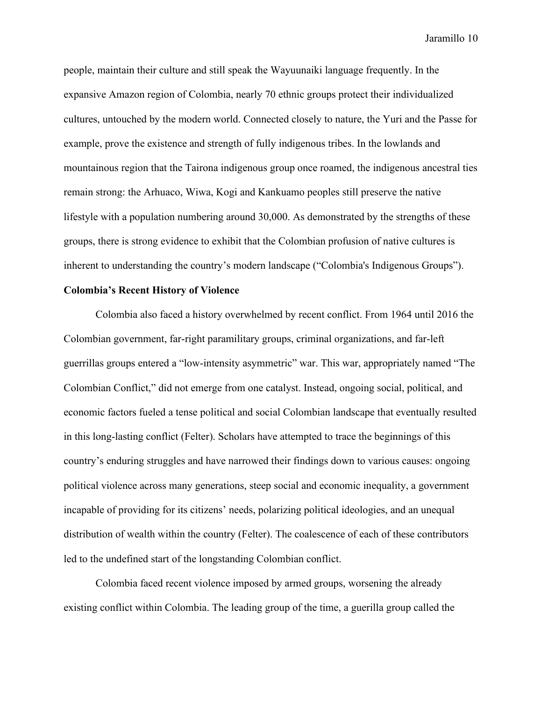people, maintain their culture and still speak the Wayuunaiki language frequently. In the expansive Amazon region of Colombia, nearly 70 ethnic groups protect their individualized cultures, untouched by the modern world. Connected closely to nature, the Yuri and the Passe for example, prove the existence and strength of fully indigenous tribes. In the lowlands and mountainous region that the Tairona indigenous group once roamed, the indigenous ancestral ties remain strong: the Arhuaco, Wiwa, Kogi and Kankuamo peoples still preserve the native lifestyle with a population numbering around 30,000. As demonstrated by the strengths of these groups, there is strong evidence to exhibit that the Colombian profusion of native cultures is inherent to understanding the country's modern landscape ("Colombia's Indigenous Groups").

# **Colombia's Recent History of Violence**

Colombia also faced a history overwhelmed by recent conflict. From 1964 until 2016 the Colombian government, far-right paramilitary groups, criminal organizations, and far-left guerrillas groups entered a "low-intensity asymmetric" war. This war, appropriately named "The Colombian Conflict," did not emerge from one catalyst. Instead, ongoing social, political, and economic factors fueled a tense political and social Colombian landscape that eventually resulted in this long-lasting conflict (Felter). Scholars have attempted to trace the beginnings of this country's enduring struggles and have narrowed their findings down to various causes: ongoing political violence across many generations, steep social and economic inequality, a government incapable of providing for its citizens' needs, polarizing political ideologies, and an unequal distribution of wealth within the country (Felter). The coalescence of each of these contributors led to the undefined start of the longstanding Colombian conflict.

Colombia faced recent violence imposed by armed groups, worsening the already existing conflict within Colombia. The leading group of the time, a guerilla group called the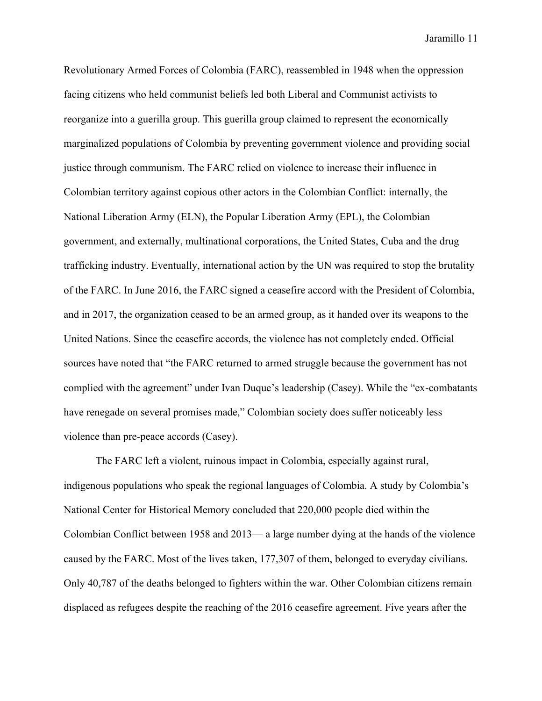[Revolutionary Armed Forces of Colombia](https://en.wikipedia.org/wiki/FARC) (FARC), reassembled in 1948 when the oppression facing citizens who held communist beliefs led both [Liberal](https://en.wikipedia.org/wiki/Colombian_Liberal_Party) and [Communist](https://en.wikipedia.org/wiki/Colombian_Communist_Party) activists to reorganize into a guerilla group. This guerilla group claimed to represent the economically marginalized populations of Colombia by preventing government violence and providing social justice through communism. The FARC relied on violence to increase their influence in Colombian territory against copious other actors in the Colombian Conflict: internally, the [National Liberation Army](https://en.wikipedia.org/wiki/National_Liberation_Army_(Colombia)) (ELN), the [Popular Liberation Army](https://en.wikipedia.org/wiki/Popular_Liberation_Army_(Colombia)) (EPL), the Colombian government, and externally, multinational corporations, the United States, Cuba and the drug trafficking industry. Eventually, international action by the UN was required to stop the brutality of the FARC. In June 2016, the FARC signed a ceasefire accord with the [President of Colombia,](https://en.wikipedia.org/wiki/President_of_Colombia) and in 2017, the organization ceased to be an armed group, as it handed over its weapons to the [United Nations.](https://en.wikipedia.org/wiki/United_Nations) Since the ceasefire accords, the violence has not completely ended. Official sources have noted that "the FARC returned to armed struggle because the government has not complied with the agreement" under Ivan Duque's leadership (Casey). While the "ex-combatants have renegade on several promises made," Colombian society does suffer noticeably less violence than pre-peace accords (Casey).

The FARC left a violent, ruinous impact in Colombia, especially against rural, indigenous populations who speak the regional languages of Colombia. A study by Colombia's National Center for Historical Memory concluded that 220,000 people died within the Colombian Conflict between 1958 and 2013— a large number dying at the hands of the violence caused by the FARC. Most of the lives taken, 177,307 of them, belonged to everyday civilians. Only 40,787 of the deaths belonged to fighters within the war. Other Colombian citizens remain displaced as refugees despite the reaching of the 2016 ceasefire agreement. Five years after the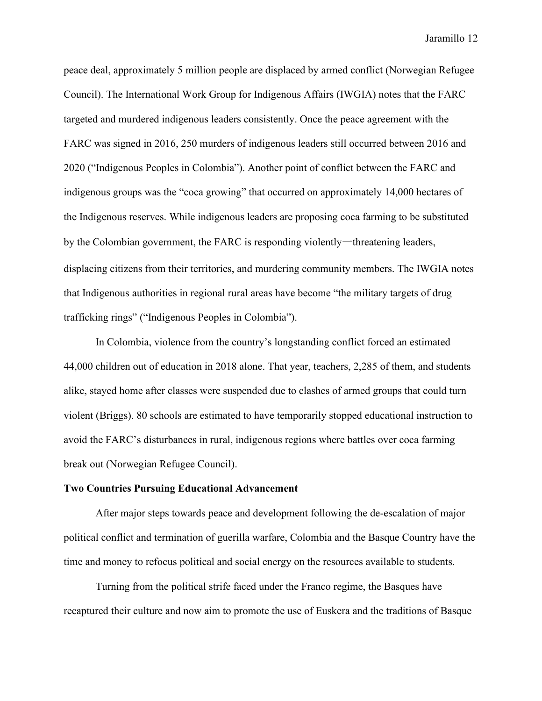peace deal, approximately 5 million people are displaced by armed conflict (Norwegian Refugee Council). The International Work Group for Indigenous Affairs (IWGIA) notes that the FARC targeted and murdered indigenous leaders consistently. Once the peace agreement with the FARC was signed in 2016, 250 murders of indigenous leaders still occurred between 2016 and 2020 ("Indigenous Peoples in Colombia"). Another point of conflict between the FARC and indigenous groups was the "coca growing" that occurred on approximately 14,000 hectares of the Indigenous reserves. While indigenous leaders are proposing coca farming to be substituted by the Colombian government, the FARC is responding violently一threatening leaders, displacing citizens from their territories, and murdering community members. The IWGIA notes that Indigenous authorities in regional rural areas have become "the military targets of drug trafficking rings" ("Indigenous Peoples in Colombia").

In Colombia, violence from the country's longstanding conflict forced an estimated 44,000 children out of education in 2018 alone. That year, teachers, 2,285 of them, and students alike, stayed home after classes were suspended due to clashes of armed groups that could turn violent (Briggs). 80 schools are estimated to have temporarily stopped educational instruction to avoid the FARC's disturbances in rural, indigenous regions where battles over coca farming break out (Norwegian Refugee Council).

#### **Two Countries Pursuing Educational Advancement**

After major steps towards peace and development following the de-escalation of major political conflict and termination of guerilla warfare, Colombia and the Basque Country have the time and money to refocus political and social energy on the resources available to students.

Turning from the political strife faced under the Franco regime, the Basques have recaptured their culture and now aim to promote the use of Euskera and the traditions of Basque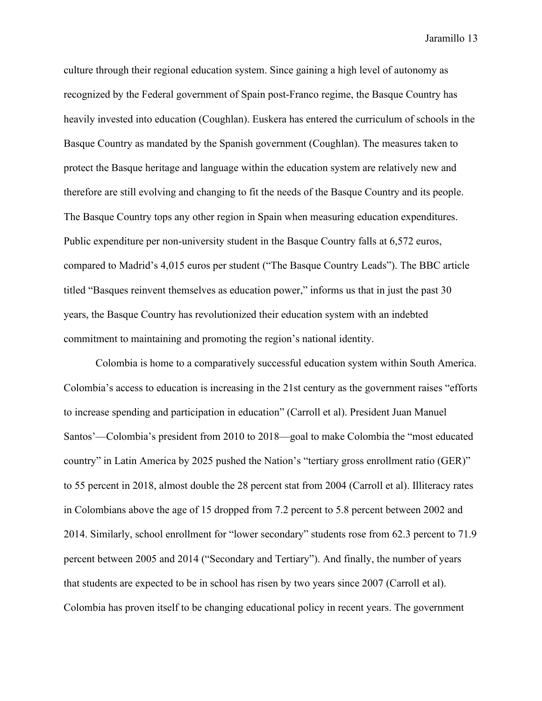culture through their regional education system. Since gaining a high level of autonomy as recognized by the Federal government of Spain post-Franco regime, the Basque Country has heavily invested into education (Coughlan). Euskera has entered the curriculum of schools in the Basque Country as mandated by the Spanish government (Coughlan). The measures taken to protect the Basque heritage and language within the education system are relatively new and therefore are still evolving and changing to fit the needs of the Basque Country and its people. The Basque Country tops any other region in Spain when measuring education expenditures. Public expenditure per non-university student in the Basque Country falls at 6,572 euros, compared to Madrid's 4,015 euros per student ("The Basque Country Leads"). The BBC article titled "Basques reinvent themselves as education power," informs us that in just the past 30 years, the Basque Country has revolutionized their education system with an indebted commitment to maintaining and promoting the region's national identity.

Colombia is home to a comparatively successful education system within South America. Colombia's access to education is increasing in the 21st century as the government raises "efforts to increase spending and participation in education" (Carroll et al). President Juan Manuel Santos'—Colombia's president from 2010 to 2018—goal to make Colombia the "most educated country" in Latin America by 2025 pushed the Nation's "tertiary gross enrollment ratio (GER)" to 55 percent in 2018, almost double the 28 percent stat from 2004 (Carroll et al). Illiteracy rates in Colombians above the age of 15 dropped from 7.2 percent to 5.8 percent between 2002 and 2014. Similarly, school enrollment for "lower secondary" students rose from 62.3 percent to 71.9 percent between 2005 and 2014 ("Secondary and Tertiary"). And finally, the number of years that students are expected to be in school has risen by two years since 2007 (Carroll et al). Colombia has proven itself to be changing educational policy in recent years. The government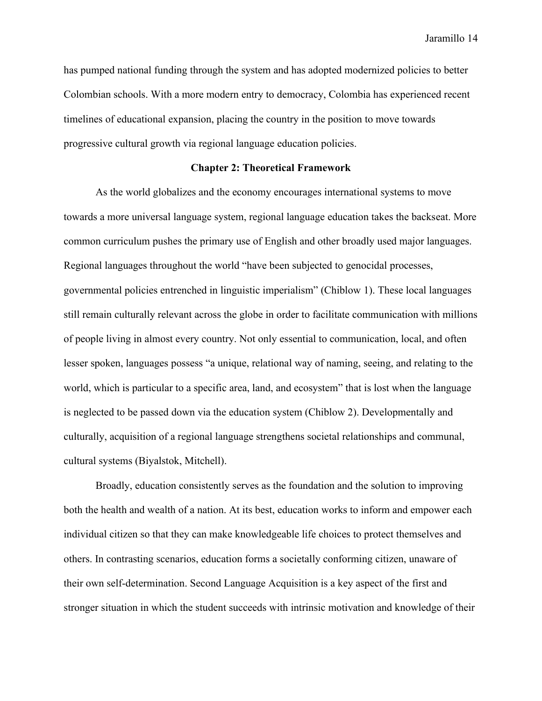has pumped national funding through the system and has adopted modernized policies to better Colombian schools. With a more modern entry to democracy, Colombia has experienced recent timelines of educational expansion, placing the country in the position to move towards progressive cultural growth via regional language education policies.

### **Chapter 2: Theoretical Framework**

As the world globalizes and the economy encourages international systems to move towards a more universal language system, regional language education takes the backseat. More common curriculum pushes the primary use of English and other broadly used major languages. Regional languages throughout the world "have been subjected to genocidal processes, governmental policies entrenched in linguistic imperialism" (Chiblow 1). These local languages still remain culturally relevant across the globe in order to facilitate communication with millions of people living in almost every country. Not only essential to communication, local, and often lesser spoken, languages possess "a unique, relational way of naming, seeing, and relating to the world, which is particular to a specific area, land, and ecosystem" that is lost when the language is neglected to be passed down via the education system (Chiblow 2). Developmentally and culturally, acquisition of a regional language strengthens societal relationships and communal, cultural systems (Biyalstok, Mitchell).

Broadly, education consistently serves as the foundation and the solution to improving both the health and wealth of a nation. At its best, education works to inform and empower each individual citizen so that they can make knowledgeable life choices to protect themselves and others. In contrasting scenarios, education forms a societally conforming citizen, unaware of their own self-determination. Second Language Acquisition is a key aspect of the first and stronger situation in which the student succeeds with intrinsic motivation and knowledge of their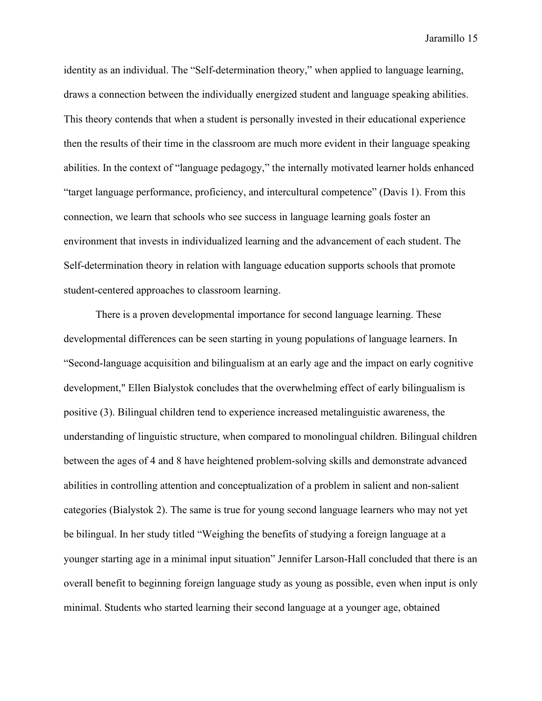identity as an individual. The "Self-determination theory," when applied to language learning, draws a connection between the individually energized student and language speaking abilities. This theory contends that when a student is personally invested in their educational experience then the results of their time in the classroom are much more evident in their language speaking abilities. In the context of "language pedagogy," the internally motivated learner holds enhanced "target language performance, proficiency, and intercultural competence" (Davis 1). From this connection, we learn that schools who see success in language learning goals foster an environment that invests in individualized learning and the advancement of each student. The Self-determination theory in relation with language education supports schools that promote student-centered approaches to classroom learning.

There is a proven developmental importance for second language learning. These developmental differences can be seen starting in young populations of language learners. In "Second-language acquisition and bilingualism at an early age and the impact on early cognitive development," Ellen Bialystok concludes that the overwhelming effect of early bilingualism is positive (3). Bilingual children tend to experience increased metalinguistic awareness, the understanding of linguistic structure, when compared to monolingual children. Bilingual children between the ages of 4 and 8 have heightened problem-solving skills and demonstrate advanced abilities in controlling attention and conceptualization of a problem in salient and non-salient categories (Bialystok 2). The same is true for young second language learners who may not yet be bilingual. In her study titled "Weighing the benefits of studying a foreign language at a younger starting age in a minimal input situation" Jennifer Larson-Hall concluded that there is an overall benefit to beginning foreign language study as young as possible, even when input is only minimal. Students who started learning their second language at a younger age, obtained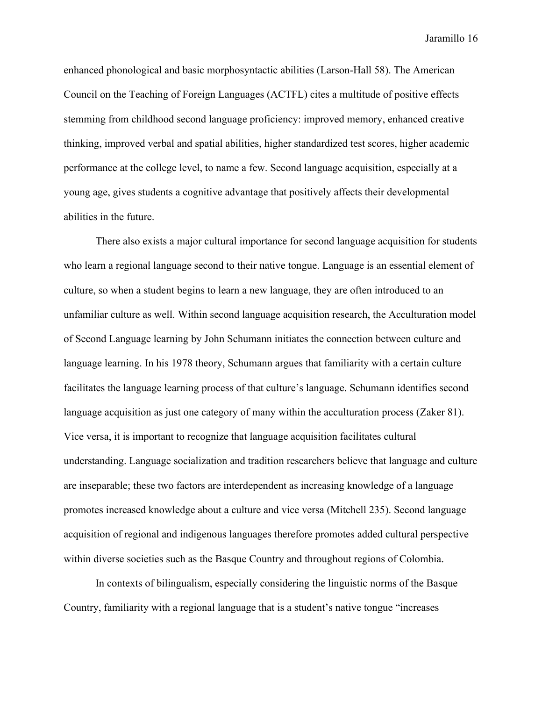enhanced phonological and basic morphosyntactic abilities (Larson-Hall 58). The American Council on the Teaching of Foreign Languages (ACTFL) cites a multitude of positive effects stemming from childhood second language proficiency: improved memory, enhanced creative thinking, improved verbal and spatial abilities, higher standardized test scores, higher academic performance at the college level, to name a few. Second language acquisition, especially at a young age, gives students a cognitive advantage that positively affects their developmental abilities in the future.

There also exists a major cultural importance for second language acquisition for students who learn a regional language second to their native tongue. Language is an essential element of culture, so when a student begins to learn a new language, they are often introduced to an unfamiliar culture as well. Within second language acquisition research, the Acculturation model of Second Language learning by John Schumann initiates the connection between culture and language learning. In his 1978 theory, Schumann argues that familiarity with a certain culture facilitates the language learning process of that culture's language. Schumann identifies second language acquisition as just one category of many within the acculturation process (Zaker 81). Vice versa, it is important to recognize that language acquisition facilitates cultural understanding. Language socialization and tradition researchers believe that language and culture are inseparable; these two factors are interdependent as increasing knowledge of a language promotes increased knowledge about a culture and vice versa (Mitchell 235). Second language acquisition of regional and indigenous languages therefore promotes added cultural perspective within diverse societies such as the Basque Country and throughout regions of Colombia.

In contexts of bilingualism, especially considering the linguistic norms of the Basque Country, familiarity with a regional language that is a student's native tongue "increases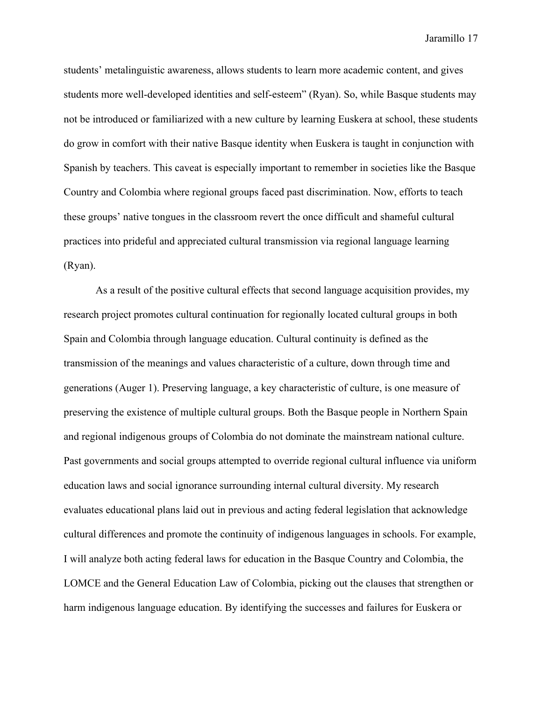students' metalinguistic awareness, allows students to learn more academic content, and gives students more well-developed identities and self-esteem" (Ryan). So, while Basque students may not be introduced or familiarized with a new culture by learning Euskera at school, these students do grow in comfort with their native Basque identity when Euskera is taught in conjunction with Spanish by teachers. This caveat is especially important to remember in societies like the Basque Country and Colombia where regional groups faced past discrimination. Now, efforts to teach these groups' native tongues in the classroom revert the once difficult and shameful cultural practices into prideful and appreciated cultural transmission via regional language learning (Ryan).

As a result of the positive cultural effects that second language acquisition provides, my research project promotes cultural continuation for regionally located cultural groups in both Spain and Colombia through language education. Cultural continuity is defined as the transmission of the meanings and values characteristic of a culture, down through time and generations (Auger 1). Preserving language, a key characteristic of culture, is one measure of preserving the existence of multiple cultural groups. Both the Basque people in Northern Spain and regional indigenous groups of Colombia do not dominate the mainstream national culture. Past governments and social groups attempted to override regional cultural influence via uniform education laws and social ignorance surrounding internal cultural diversity. My research evaluates educational plans laid out in previous and acting federal legislation that acknowledge cultural differences and promote the continuity of indigenous languages in schools. For example, I will analyze both acting federal laws for education in the Basque Country and Colombia, the LOMCE and the General Education Law of Colombia, picking out the clauses that strengthen or harm indigenous language education. By identifying the successes and failures for Euskera or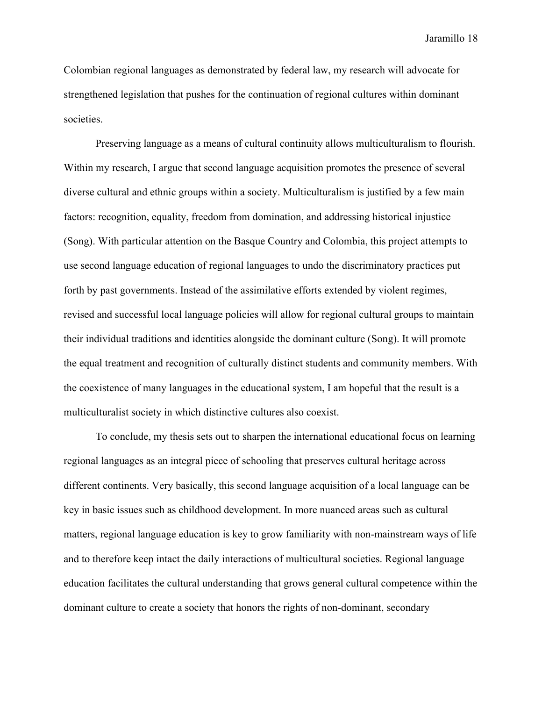Colombian regional languages as demonstrated by federal law, my research will advocate for strengthened legislation that pushes for the continuation of regional cultures within dominant societies.

Preserving language as a means of cultural continuity allows multiculturalism to flourish. Within my research, I argue that second language acquisition promotes the presence of several diverse cultural and ethnic groups within a society. Multiculturalism is justified by a few main factors: recognition, equality, freedom from domination, and addressing historical injustice (Song). With particular attention on the Basque Country and Colombia, this project attempts to use second language education of regional languages to undo the discriminatory practices put forth by past governments. Instead of the assimilative efforts extended by violent regimes, revised and successful local language policies will allow for regional cultural groups to maintain their individual traditions and identities alongside the dominant culture (Song). It will promote the equal treatment and recognition of culturally distinct students and community members. With the coexistence of many languages in the educational system, I am hopeful that the result is a multiculturalist society in which distinctive cultures also coexist.

To conclude, my thesis sets out to sharpen the international educational focus on learning regional languages as an integral piece of schooling that preserves cultural heritage across different continents. Very basically, this second language acquisition of a local language can be key in basic issues such as childhood development. In more nuanced areas such as cultural matters, regional language education is key to grow familiarity with non-mainstream ways of life and to therefore keep intact the daily interactions of multicultural societies. Regional language education facilitates the cultural understanding that grows general cultural competence within the dominant culture to create a society that honors the rights of non-dominant, secondary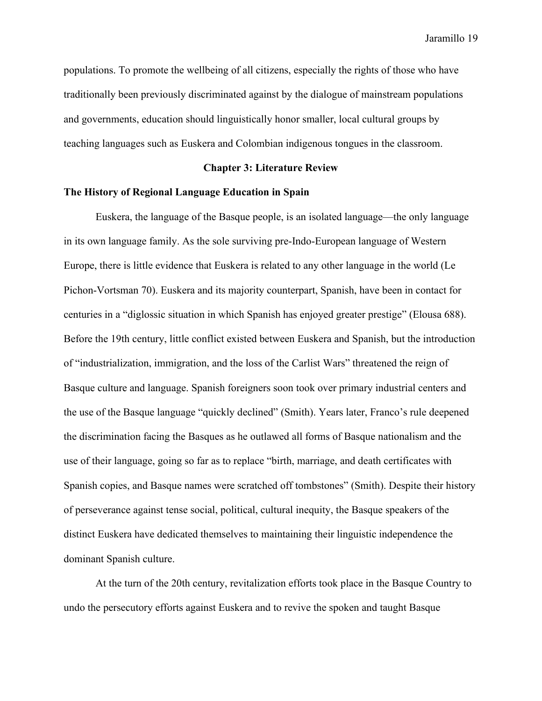populations. To promote the wellbeing of all citizens, especially the rights of those who have traditionally been previously discriminated against by the dialogue of mainstream populations and governments, education should linguistically honor smaller, local cultural groups by teaching languages such as Euskera and Colombian indigenous tongues in the classroom.

# **Chapter 3: Literature Review**

# **The History of Regional Language Education in Spain**

Euskera, the language of the Basque people, is an isolated language—the only language in its own language family. As the sole surviving pre-Indo-European language of Western Europe, there is little evidence that Euskera is related to any other language in the world (Le Pichon-Vortsman 70). Euskera and its majority counterpart, Spanish, have been in contact for centuries in a "diglossic situation in which Spanish has enjoyed greater prestige" (Elousa 688). Before the 19th century, little conflict existed between Euskera and Spanish, but the introduction of "industrialization, immigration, and the loss of the Carlist Wars" threatened the reign of Basque culture and language. Spanish foreigners soon took over primary industrial centers and the use of the Basque language "quickly declined" (Smith). Years later, Franco's rule deepened the discrimination facing the Basques as he outlawed all forms of Basque nationalism and the use of their language, going so far as to replace "birth, marriage, and death certificates with Spanish copies, and Basque names were scratched off tombstones" (Smith). Despite their history of perseverance against tense social, political, cultural inequity, the Basque speakers of the distinct Euskera have dedicated themselves to maintaining their linguistic independence the dominant Spanish culture.

At the turn of the 20th century, revitalization efforts took place in the Basque Country to undo the persecutory efforts against Euskera and to revive the spoken and taught Basque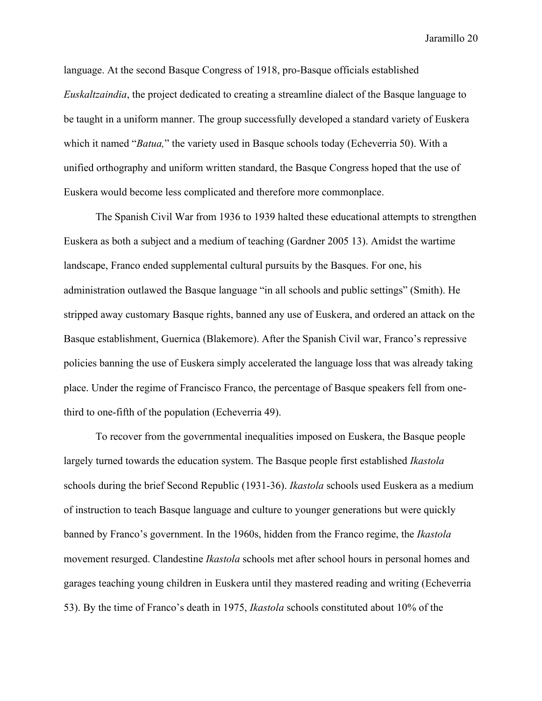language. At the second Basque Congress of 1918, pro-Basque officials established *Euskaltzaindia*, the project dedicated to creating a streamline dialect of the Basque language to be taught in a uniform manner. The group successfully developed a standard variety of Euskera which it named "*Batua,*" the variety used in Basque schools today (Echeverria 50). With a unified orthography and uniform written standard, the Basque Congress hoped that the use of Euskera would become less complicated and therefore more commonplace.

The Spanish Civil War from 1936 to 1939 halted these educational attempts to strengthen Euskera as both a subject and a medium of teaching (Gardner 2005 13). Amidst the wartime landscape, Franco ended supplemental cultural pursuits by the Basques. For one, his administration outlawed the Basque language "in all schools and public settings" (Smith). He stripped away customary Basque rights, banned any use of Euskera, and ordered an attack on the Basque establishment, Guernica (Blakemore). After the Spanish Civil war, Franco's repressive policies banning the use of Euskera simply accelerated the language loss that was already taking place. Under the regime of Francisco Franco, the percentage of Basque speakers fell from onethird to one-fifth of the population (Echeverria 49).

To recover from the governmental inequalities imposed on Euskera, the Basque people largely turned towards the education system. The Basque people first established *Ikastola* schools during the brief Second Republic (1931-36). *Ikastola* schools used Euskera as a medium of instruction to teach Basque language and culture to younger generations but were quickly banned by Franco's government. In the 1960s, hidden from the Franco regime, the *Ikastola* movement resurged. Clandestine *Ikastola* schools met after school hours in personal homes and garages teaching young children in Euskera until they mastered reading and writing (Echeverria 53). By the time of Franco's death in 1975, *Ikastola* schools constituted about 10% of the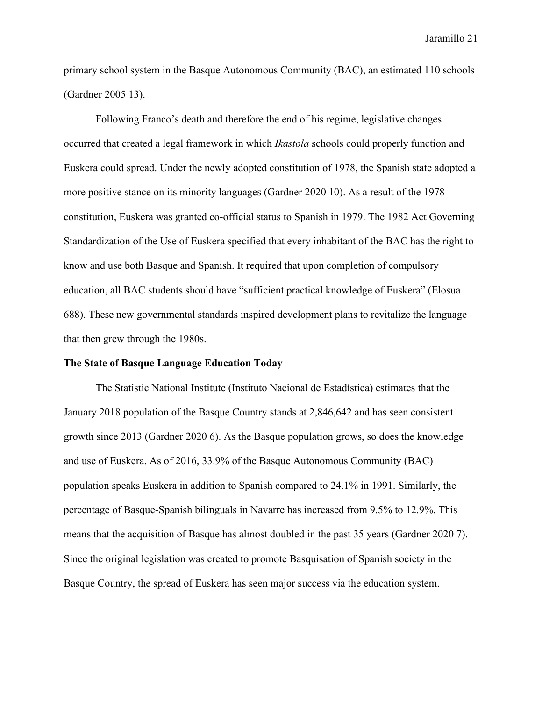primary school system in the Basque Autonomous Community (BAC), an estimated 110 schools (Gardner 2005 13).

Following Franco's death and therefore the end of his regime, legislative changes occurred that created a legal framework in which *Ikastola* schools could properly function and Euskera could spread. Under the newly adopted constitution of 1978, the Spanish state adopted a more positive stance on its minority languages (Gardner 2020 10). As a result of the 1978 constitution, Euskera was granted co-official status to Spanish in 1979. The 1982 Act Governing Standardization of the Use of Euskera specified that every inhabitant of the BAC has the right to know and use both Basque and Spanish. It required that upon completion of compulsory education, all BAC students should have "sufficient practical knowledge of Euskera" (Elosua 688). These new governmental standards inspired development plans to revitalize the language that then grew through the 1980s.

#### **The State of Basque Language Education Today**

The Statistic National Institute (Instituto Nacional de Estadística) estimates that the January 2018 population of the Basque Country stands at 2,846,642 and has seen consistent growth since 2013 (Gardner 2020 6). As the Basque population grows, so does the knowledge and use of Euskera. As of 2016, 33.9% of the Basque Autonomous Community (BAC) population speaks Euskera in addition to Spanish compared to 24.1% in 1991. Similarly, the percentage of Basque-Spanish bilinguals in Navarre has increased from 9.5% to 12.9%. This means that the acquisition of Basque has almost doubled in the past 35 years (Gardner 2020 7). Since the original legislation was created to promote Basquisation of Spanish society in the Basque Country, the spread of Euskera has seen major success via the education system.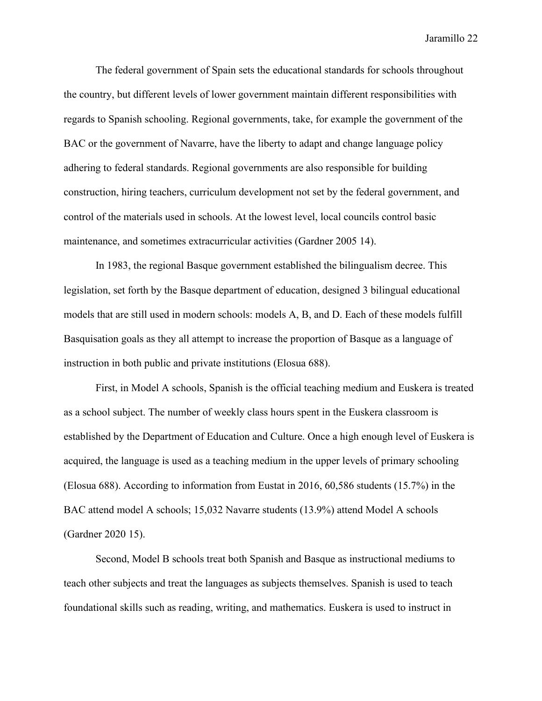The federal government of Spain sets the educational standards for schools throughout the country, but different levels of lower government maintain different responsibilities with regards to Spanish schooling. Regional governments, take, for example the government of the BAC or the government of Navarre, have the liberty to adapt and change language policy adhering to federal standards. Regional governments are also responsible for building construction, hiring teachers, curriculum development not set by the federal government, and control of the materials used in schools. At the lowest level, local councils control basic maintenance, and sometimes extracurricular activities (Gardner 2005 14).

In 1983, the regional Basque government established the bilingualism decree. This legislation, set forth by the Basque department of education, designed 3 bilingual educational models that are still used in modern schools: models A, B, and D. Each of these models fulfill Basquisation goals as they all attempt to increase the proportion of Basque as a language of instruction in both public and private institutions (Elosua 688).

First, in Model A schools, Spanish is the official teaching medium and Euskera is treated as a school subject. The number of weekly class hours spent in the Euskera classroom is established by the Department of Education and Culture. Once a high enough level of Euskera is acquired, the language is used as a teaching medium in the upper levels of primary schooling (Elosua 688). According to information from Eustat in 2016, 60,586 students (15.7%) in the BAC attend model A schools; 15,032 Navarre students (13.9%) attend Model A schools (Gardner 2020 15).

Second, Model B schools treat both Spanish and Basque as instructional mediums to teach other subjects and treat the languages as subjects themselves. Spanish is used to teach foundational skills such as reading, writing, and mathematics. Euskera is used to instruct in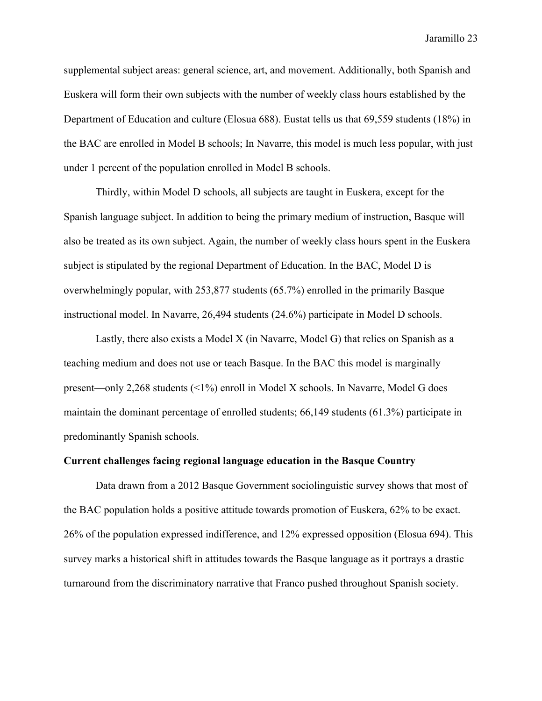supplemental subject areas: general science, art, and movement. Additionally, both Spanish and Euskera will form their own subjects with the number of weekly class hours established by the Department of Education and culture (Elosua 688). Eustat tells us that 69,559 students (18%) in the BAC are enrolled in Model B schools; In Navarre, this model is much less popular, with just under 1 percent of the population enrolled in Model B schools.

Thirdly, within Model D schools, all subjects are taught in Euskera, except for the Spanish language subject. In addition to being the primary medium of instruction, Basque will also be treated as its own subject. Again, the number of weekly class hours spent in the Euskera subject is stipulated by the regional Department of Education. In the BAC, Model D is overwhelmingly popular, with 253,877 students (65.7%) enrolled in the primarily Basque instructional model. In Navarre, 26,494 students (24.6%) participate in Model D schools.

Lastly, there also exists a Model X (in Navarre, Model G) that relies on Spanish as a teaching medium and does not use or teach Basque. In the BAC this model is marginally present—only 2,268 students (<1%) enroll in Model X schools. In Navarre, Model G does maintain the dominant percentage of enrolled students; 66,149 students (61.3%) participate in predominantly Spanish schools.

# **Current challenges facing regional language education in the Basque Country**

Data drawn from a 2012 Basque Government sociolinguistic survey shows that most of the BAC population holds a positive attitude towards promotion of Euskera, 62% to be exact. 26% of the population expressed indifference, and 12% expressed opposition (Elosua 694). This survey marks a historical shift in attitudes towards the Basque language as it portrays a drastic turnaround from the discriminatory narrative that Franco pushed throughout Spanish society.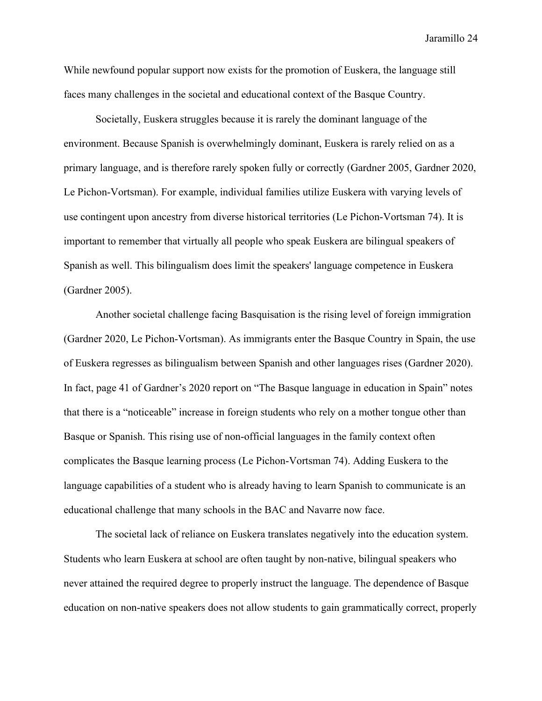While newfound popular support now exists for the promotion of Euskera, the language still faces many challenges in the societal and educational context of the Basque Country.

Societally, Euskera struggles because it is rarely the dominant language of the environment. Because Spanish is overwhelmingly dominant, Euskera is rarely relied on as a primary language, and is therefore rarely spoken fully or correctly (Gardner 2005, Gardner 2020, Le Pichon-Vortsman). For example, individual families utilize Euskera with varying levels of use contingent upon ancestry from diverse historical territories (Le Pichon-Vortsman 74). It is important to remember that virtually all people who speak Euskera are bilingual speakers of Spanish as well. This bilingualism does limit the speakers' language competence in Euskera (Gardner 2005).

Another societal challenge facing Basquisation is the rising level of foreign immigration (Gardner 2020, Le Pichon-Vortsman). As immigrants enter the Basque Country in Spain, the use of Euskera regresses as bilingualism between Spanish and other languages rises (Gardner 2020). In fact, page 41 of Gardner's 2020 report on "The Basque language in education in Spain" notes that there is a "noticeable" increase in foreign students who rely on a mother tongue other than Basque or Spanish. This rising use of non-official languages in the family context often complicates the Basque learning process (Le Pichon-Vortsman 74). Adding Euskera to the language capabilities of a student who is already having to learn Spanish to communicate is an educational challenge that many schools in the BAC and Navarre now face.

The societal lack of reliance on Euskera translates negatively into the education system. Students who learn Euskera at school are often taught by non-native, bilingual speakers who never attained the required degree to properly instruct the language. The dependence of Basque education on non-native speakers does not allow students to gain grammatically correct, properly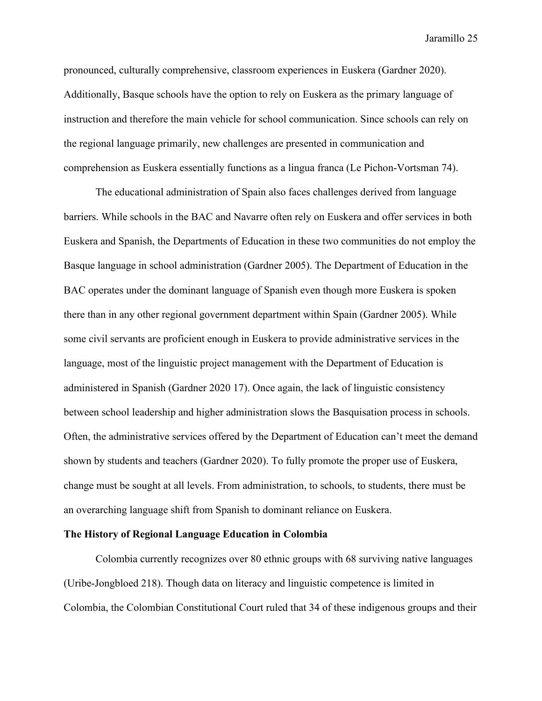pronounced, culturally comprehensive, classroom experiences in Euskera (Gardner 2020). Additionally, Basque schools have the option to rely on Euskera as the primary language of instruction and therefore the main vehicle for school communication. Since schools can rely on the regional language primarily, new challenges are presented in communication and comprehension as Euskera essentially functions as a lingua franca (Le Pichon-Vortsman 74).

The educational administration of Spain also faces challenges derived from language barriers. While schools in the BAC and Navarre often rely on Euskera and offer services in both Euskera and Spanish, the Departments of Education in these two communities do not employ the Basque language in school administration (Gardner 2005). The Department of Education in the BAC operates under the dominant language of Spanish even though more Euskera is spoken there than in any other regional government department within Spain (Gardner 2005). While some civil servants are proficient enough in Euskera to provide administrative services in the language, most of the linguistic project management with the Department of Education is administered in Spanish (Gardner 2020 17). Once again, the lack of linguistic consistency between school leadership and higher administration slows the Basquisation process in schools. Often, the administrative services offered by the Department of Education can't meet the demand shown by students and teachers (Gardner 2020). To fully promote the proper use of Euskera, change must be sought at all levels. From administration, to schools, to students, there must be an overarching language shift from Spanish to dominant reliance on Euskera.

# **The History of Regional Language Education in Colombia**

Colombia currently recognizes over 80 ethnic groups with 68 surviving native languages (Uribe-Jongbloed 218). Though data on literacy and linguistic competence is limited in Colombia, the Colombian Constitutional Court ruled that 34 of these indigenous groups and their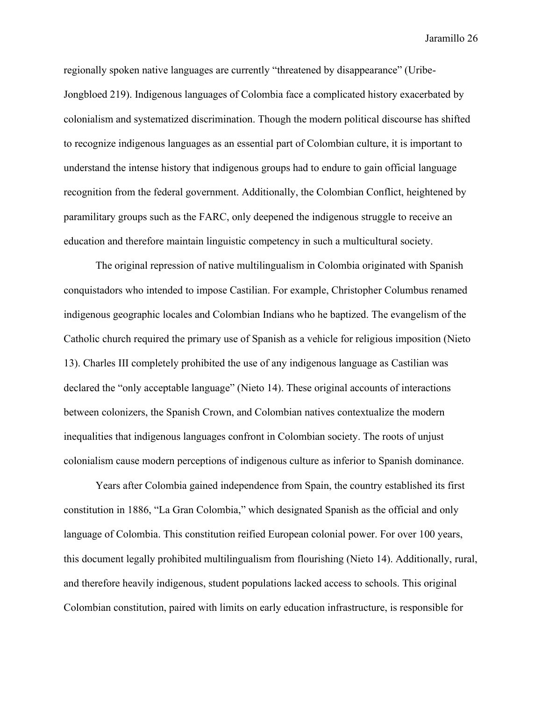regionally spoken native languages are currently "threatened by disappearance" (Uribe-Jongbloed 219). Indigenous languages of Colombia face a complicated history exacerbated by colonialism and systematized discrimination. Though the modern political discourse has shifted to recognize indigenous languages as an essential part of Colombian culture, it is important to understand the intense history that indigenous groups had to endure to gain official language recognition from the federal government. Additionally, the Colombian Conflict, heightened by paramilitary groups such as the FARC, only deepened the indigenous struggle to receive an education and therefore maintain linguistic competency in such a multicultural society.

The original repression of native multilingualism in Colombia originated with Spanish conquistadors who intended to impose Castilian. For example, Christopher Columbus renamed indigenous geographic locales and Colombian Indians who he baptized. The evangelism of the Catholic church required the primary use of Spanish as a vehicle for religious imposition (Nieto 13). Charles III completely prohibited the use of any indigenous language as Castilian was declared the "only acceptable language" (Nieto 14). These original accounts of interactions between colonizers, the Spanish Crown, and Colombian natives contextualize the modern inequalities that indigenous languages confront in Colombian society. The roots of unjust colonialism cause modern perceptions of indigenous culture as inferior to Spanish dominance.

Years after Colombia gained independence from Spain, the country established its first constitution in 1886, "La Gran Colombia," which designated Spanish as the official and only language of Colombia. This constitution reified European colonial power. For over 100 years, this document legally prohibited multilingualism from flourishing (Nieto 14). Additionally, rural, and therefore heavily indigenous, student populations lacked access to schools. This original Colombian constitution, paired with limits on early education infrastructure, is responsible for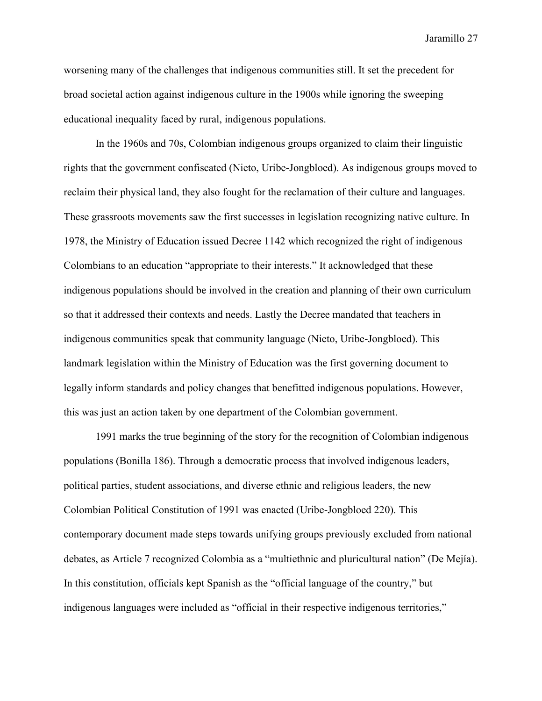worsening many of the challenges that indigenous communities still. It set the precedent for broad societal action against indigenous culture in the 1900s while ignoring the sweeping educational inequality faced by rural, indigenous populations.

In the 1960s and 70s, Colombian indigenous groups organized to claim their linguistic rights that the government confiscated (Nieto, Uribe-Jongbloed). As indigenous groups moved to reclaim their physical land, they also fought for the reclamation of their culture and languages. These grassroots movements saw the first successes in legislation recognizing native culture. In 1978, the Ministry of Education issued Decree 1142 which recognized the right of indigenous Colombians to an education "appropriate to their interests." It acknowledged that these indigenous populations should be involved in the creation and planning of their own curriculum so that it addressed their contexts and needs. Lastly the Decree mandated that teachers in indigenous communities speak that community language (Nieto, Uribe-Jongbloed). This landmark legislation within the Ministry of Education was the first governing document to legally inform standards and policy changes that benefitted indigenous populations. However, this was just an action taken by one department of the Colombian government.

1991 marks the true beginning of the story for the recognition of Colombian indigenous populations (Bonilla 186). Through a democratic process that involved indigenous leaders, political parties, student associations, and diverse ethnic and religious leaders, the new Colombian Political Constitution of 1991 was enacted (Uribe-Jongbloed 220). This contemporary document made steps towards unifying groups previously excluded from national debates, as Article 7 recognized Colombia as a "multiethnic and pluricultural nation" (De Mejía). In this constitution, officials kept Spanish as the "official language of the country," but indigenous languages were included as "official in their respective indigenous territories,"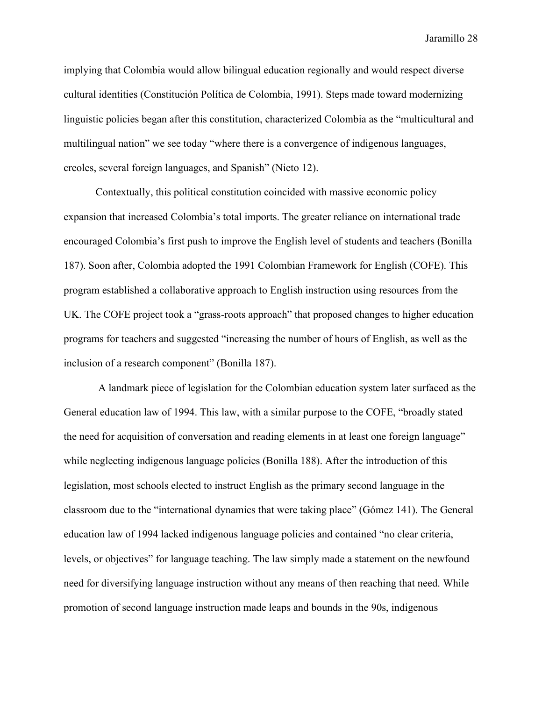implying that Colombia would allow bilingual education regionally and would respect diverse cultural identities (Constitución Política de Colombia, 1991). Steps made toward modernizing linguistic policies began after this constitution, characterized Colombia as the "multicultural and multilingual nation" we see today "where there is a convergence of indigenous languages, creoles, several foreign languages, and Spanish" (Nieto 12).

Contextually, this political constitution coincided with massive economic policy expansion that increased Colombia's total imports. The greater reliance on international trade encouraged Colombia's first push to improve the English level of students and teachers (Bonilla 187). Soon after, Colombia adopted the 1991 Colombian Framework for English (COFE). This program established a collaborative approach to English instruction using resources from the UK. The COFE project took a "grass-roots approach" that proposed changes to higher education programs for teachers and suggested "increasing the number of hours of English, as well as the inclusion of a research component" (Bonilla 187).

A landmark piece of legislation for the Colombian education system later surfaced as the General education law of 1994. This law, with a similar purpose to the COFE, "broadly stated the need for acquisition of conversation and reading elements in at least one foreign language" while neglecting indigenous language policies (Bonilla 188). After the introduction of this legislation, most schools elected to instruct English as the primary second language in the classroom due to the "international dynamics that were taking place" (Gómez 141). The General education law of 1994 lacked indigenous language policies and contained "no clear criteria, levels, or objectives" for language teaching. The law simply made a statement on the newfound need for diversifying language instruction without any means of then reaching that need. While promotion of second language instruction made leaps and bounds in the 90s, indigenous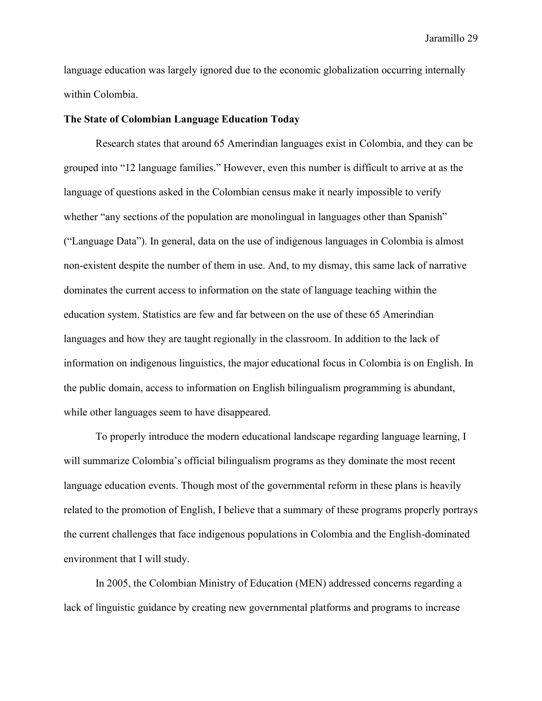language education was largely ignored due to the economic globalization occurring internally within Colombia.

#### **The State of Colombian Language Education Today**

Research states that around 65 Amerindian languages exist in Colombia, and they can be grouped into "12 language families." However, even this number is difficult to arrive at as the language of questions asked in the Colombian census make it nearly impossible to verify whether "any sections of the population are monolingual in languages other than Spanish" ("Language Data"). In general, data on the use of indigenous languages in Colombia is almost non-existent despite the number of them in use. And, to my dismay, this same lack of narrative dominates the current access to information on the state of language teaching within the education system. Statistics are few and far between on the use of these 65 Amerindian languages and how they are taught regionally in the classroom. In addition to the lack of information on indigenous linguistics, the major educational focus in Colombia is on English. In the public domain, access to information on English bilingualism programming is abundant, while other languages seem to have disappeared.

To properly introduce the modern educational landscape regarding language learning, I will summarize Colombia's official bilingualism programs as they dominate the most recent language education events. Though most of the governmental reform in these plans is heavily related to the promotion of English, I believe that a summary of these programs properly portrays the current challenges that face indigenous populations in Colombia and the English-dominated environment that I will study.

In 2005, the Colombian Ministry of Education (MEN) addressed concerns regarding a lack of linguistic guidance by creating new governmental platforms and programs to increase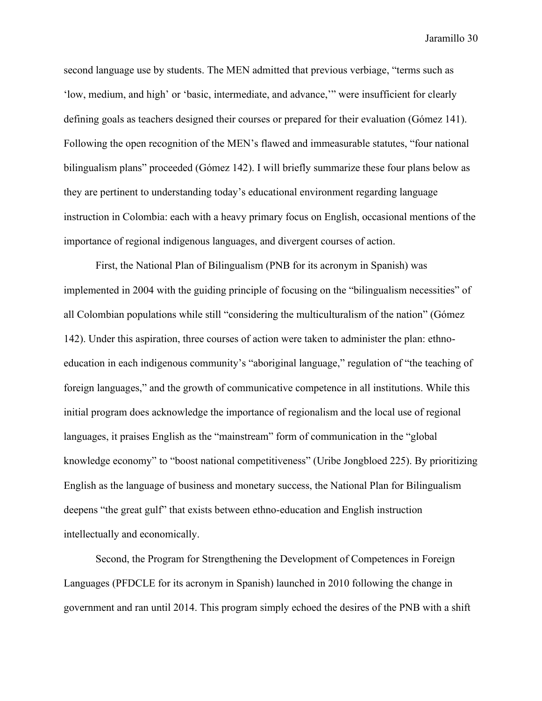second language use by students. The MEN admitted that previous verbiage, "terms such as 'low, medium, and high' or 'basic, intermediate, and advance,'" were insufficient for clearly defining goals as teachers designed their courses or prepared for their evaluation (Gómez 141). Following the open recognition of the MEN's flawed and immeasurable statutes, "four national bilingualism plans" proceeded (Gómez 142). I will briefly summarize these four plans below as they are pertinent to understanding today's educational environment regarding language instruction in Colombia: each with a heavy primary focus on English, occasional mentions of the importance of regional indigenous languages, and divergent courses of action.

First, the National Plan of Bilingualism (PNB for its acronym in Spanish) was implemented in 2004 with the guiding principle of focusing on the "bilingualism necessities" of all Colombian populations while still "considering the multiculturalism of the nation" (Gómez 142). Under this aspiration, three courses of action were taken to administer the plan: ethnoeducation in each indigenous community's "aboriginal language," regulation of "the teaching of foreign languages," and the growth of communicative competence in all institutions. While this initial program does acknowledge the importance of regionalism and the local use of regional languages, it praises English as the "mainstream" form of communication in the "global knowledge economy" to "boost national competitiveness" (Uribe Jongbloed 225). By prioritizing English as the language of business and monetary success, the National Plan for Bilingualism deepens "the great gulf" that exists between ethno-education and English instruction intellectually and economically.

Second, the Program for Strengthening the Development of Competences in Foreign Languages (PFDCLE for its acronym in Spanish) launched in 2010 following the change in government and ran until 2014. This program simply echoed the desires of the PNB with a shift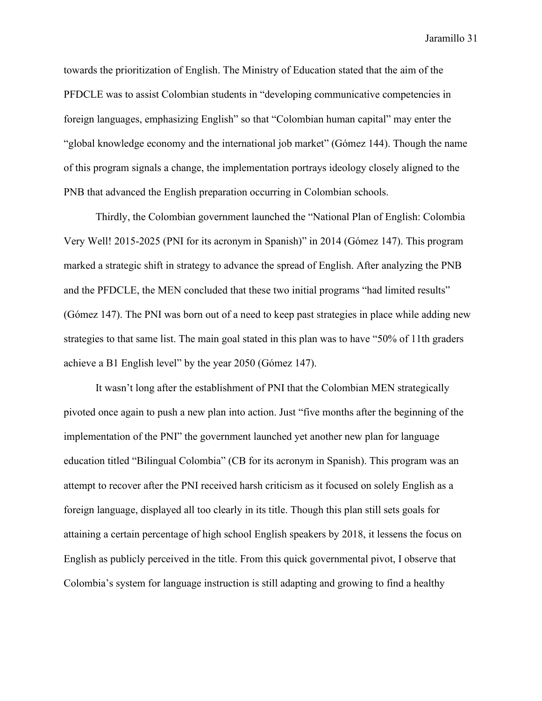towards the prioritization of English. The Ministry of Education stated that the aim of the PFDCLE was to assist Colombian students in "developing communicative competencies in foreign languages, emphasizing English" so that "Colombian human capital" may enter the "global knowledge economy and the international job market" (Gómez 144). Though the name of this program signals a change, the implementation portrays ideology closely aligned to the PNB that advanced the English preparation occurring in Colombian schools.

Thirdly, the Colombian government launched the "National Plan of English: Colombia Very Well! 2015-2025 (PNI for its acronym in Spanish)" in 2014 (Gómez 147). This program marked a strategic shift in strategy to advance the spread of English. After analyzing the PNB and the PFDCLE, the MEN concluded that these two initial programs "had limited results" (Gómez 147). The PNI was born out of a need to keep past strategies in place while adding new strategies to that same list. The main goal stated in this plan was to have "50% of 11th graders achieve a B1 English level" by the year 2050 (Gómez 147).

It wasn't long after the establishment of PNI that the Colombian MEN strategically pivoted once again to push a new plan into action. Just "five months after the beginning of the implementation of the PNI" the government launched yet another new plan for language education titled "Bilingual Colombia" (CB for its acronym in Spanish). This program was an attempt to recover after the PNI received harsh criticism as it focused on solely English as a foreign language, displayed all too clearly in its title. Though this plan still sets goals for attaining a certain percentage of high school English speakers by 2018, it lessens the focus on English as publicly perceived in the title. From this quick governmental pivot, I observe that Colombia's system for language instruction is still adapting and growing to find a healthy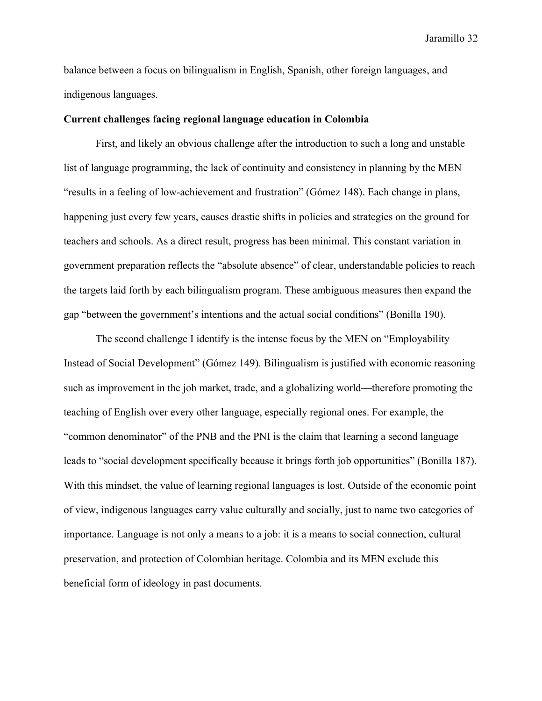balance between a focus on bilingualism in English, Spanish, other foreign languages, and indigenous languages.

# **Current challenges facing regional language education in Colombia**

First, and likely an obvious challenge after the introduction to such a long and unstable list of language programming, the lack of continuity and consistency in planning by the MEN "results in a feeling of low-achievement and frustration" (Gómez 148). Each change in plans, happening just every few years, causes drastic shifts in policies and strategies on the ground for teachers and schools. As a direct result, progress has been minimal. This constant variation in government preparation reflects the "absolute absence" of clear, understandable policies to reach the targets laid forth by each bilingualism program. These ambiguous measures then expand the gap "between the government's intentions and the actual social conditions" (Bonilla 190).

The second challenge I identify is the intense focus by the MEN on "Employability Instead of Social Development" (Gómez 149). Bilingualism is justified with economic reasoning such as improvement in the job market, trade, and a globalizing world—therefore promoting the teaching of English over every other language, especially regional ones. For example, the "common denominator" of the PNB and the PNI is the claim that learning a second language leads to "social development specifically because it brings forth job opportunities" (Bonilla 187). With this mindset, the value of learning regional languages is lost. Outside of the economic point of view, indigenous languages carry value culturally and socially, just to name two categories of importance. Language is not only a means to a job: it is a means to social connection, cultural preservation, and protection of Colombian heritage. Colombia and its MEN exclude this beneficial form of ideology in past documents.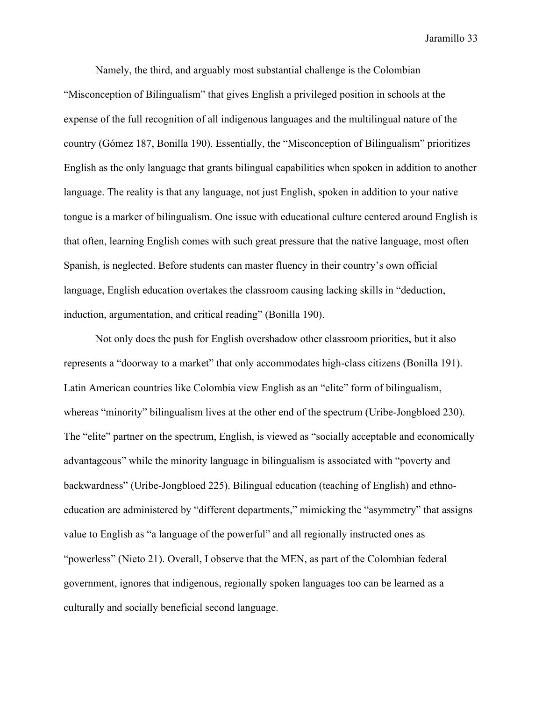Namely, the third, and arguably most substantial challenge is the Colombian "Misconception of Bilingualism" that gives English a privileged position in schools at the expense of the full recognition of all indigenous languages and the multilingual nature of the country (Gómez 187, Bonilla 190). Essentially, the "Misconception of Bilingualism" prioritizes English as the only language that grants bilingual capabilities when spoken in addition to another language. The reality is that any language, not just English, spoken in addition to your native tongue is a marker of bilingualism. One issue with educational culture centered around English is that often, learning English comes with such great pressure that the native language, most often Spanish, is neglected. Before students can master fluency in their country's own official language, English education overtakes the classroom causing lacking skills in "deduction, induction, argumentation, and critical reading" (Bonilla 190).

Not only does the push for English overshadow other classroom priorities, but it also represents a "doorway to a market" that only accommodates high-class citizens (Bonilla 191). Latin American countries like Colombia view English as an "elite" form of bilingualism, whereas "minority" bilingualism lives at the other end of the spectrum (Uribe-Jongbloed 230). The "elite" partner on the spectrum, English, is viewed as "socially acceptable and economically advantageous" while the minority language in bilingualism is associated with "poverty and backwardness" (Uribe-Jongbloed 225). Bilingual education (teaching of English) and ethnoeducation are administered by "different departments," mimicking the "asymmetry" that assigns value to English as "a language of the powerful" and all regionally instructed ones as "powerless" (Nieto 21). Overall, I observe that the MEN, as part of the Colombian federal government, ignores that indigenous, regionally spoken languages too can be learned as a culturally and socially beneficial second language.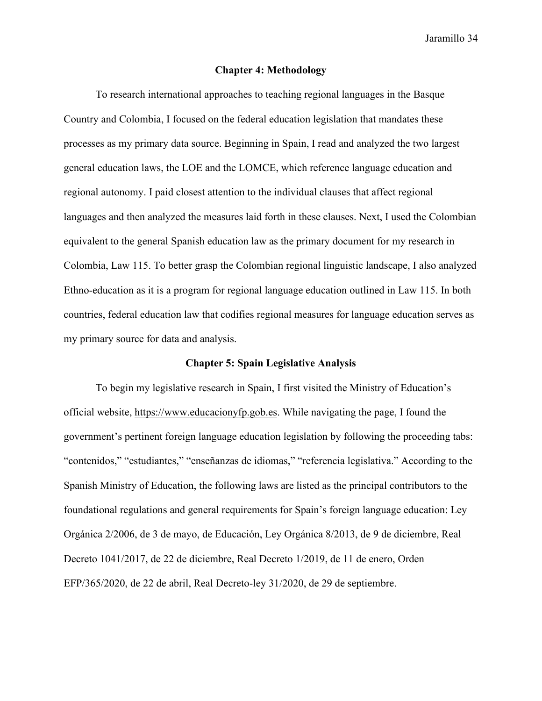### **Chapter 4: Methodology**

To research international approaches to teaching regional languages in the Basque Country and Colombia, I focused on the federal education legislation that mandates these processes as my primary data source. Beginning in Spain, I read and analyzed the two largest general education laws, the LOE and the LOMCE, which reference language education and regional autonomy. I paid closest attention to the individual clauses that affect regional languages and then analyzed the measures laid forth in these clauses. Next, I used the Colombian equivalent to the general Spanish education law as the primary document for my research in Colombia, Law 115. To better grasp the Colombian regional linguistic landscape, I also analyzed Ethno-education as it is a program for regional language education outlined in Law 115. In both countries, federal education law that codifies regional measures for language education serves as my primary source for data and analysis.

#### **Chapter 5: Spain Legislative Analysis**

To begin my legislative research in Spain, I first visited the Ministry of Education's official website, [https://www.educacionyfp.gob.es.](https://www.educacionyfp.gob.es/) While navigating the page, I found the government's pertinent foreign language education legislation by following the proceeding tabs: "contenidos," "estudiantes," "enseñanzas de idiomas," "referencia legislativa." According to the Spanish Ministry of Education, the following laws are listed as the principal contributors to the foundational regulations and general requirements for Spain's foreign language education: Ley Orgánica 2/2006, de 3 de mayo, de Educación, Ley Orgánica 8/2013, de 9 de diciembre, Real Decreto 1041/2017, de 22 de diciembre, Real Decreto 1/2019, de 11 de enero, Orden EFP/365/2020, de 22 de abril, Real Decreto-ley 31/2020, de 29 de septiembre.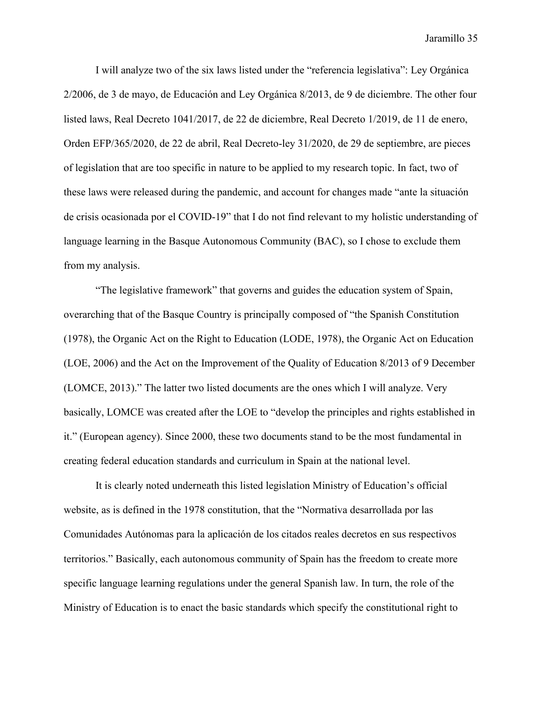I will analyze two of the six laws listed under the "referencia legislativa": Ley Orgánica 2/2006, de 3 de mayo, de Educación and Ley Orgánica 8/2013, de 9 de diciembre. The other four listed laws, Real Decreto 1041/2017, de 22 de diciembre, Real Decreto 1/2019, de 11 de enero, Orden EFP/365/2020, de 22 de abril, Real Decreto-ley 31/2020, de 29 de septiembre, are pieces of legislation that are too specific in nature to be applied to my research topic. In fact, two of these laws were released during the pandemic, and account for changes made "ante la situación de crisis ocasionada por el COVID-19" that I do not find relevant to my holistic understanding of language learning in the Basque Autonomous Community (BAC), so I chose to exclude them from my analysis.

"The legislative framework" that governs and guides the education system of Spain, overarching that of the Basque Country is principally composed of "the Spanish Constitution (1978), the Organic Act on the Right to Education (LODE, 1978), the Organic Act on Education (LOE, 2006) and the Act on the Improvement of the Quality of Education 8/2013 of 9 December (LOMCE, 2013)." The latter two listed documents are the ones which I will analyze. Very basically, LOMCE was created after the LOE to "develop the principles and rights established in it." (European agency). Since 2000, these two documents stand to be the most fundamental in creating federal education standards and curriculum in Spain at the national level.

It is clearly noted underneath this listed legislation Ministry of Education's official website, as is defined in the 1978 constitution, that the "Normativa desarrollada por las Comunidades Autónomas para la aplicación de los citados reales decretos en sus respectivos territorios." Basically, each autonomous community of Spain has the freedom to create more specific language learning regulations under the general Spanish law. In turn, the role of the Ministry of Education is to enact the basic standards which specify the constitutional right to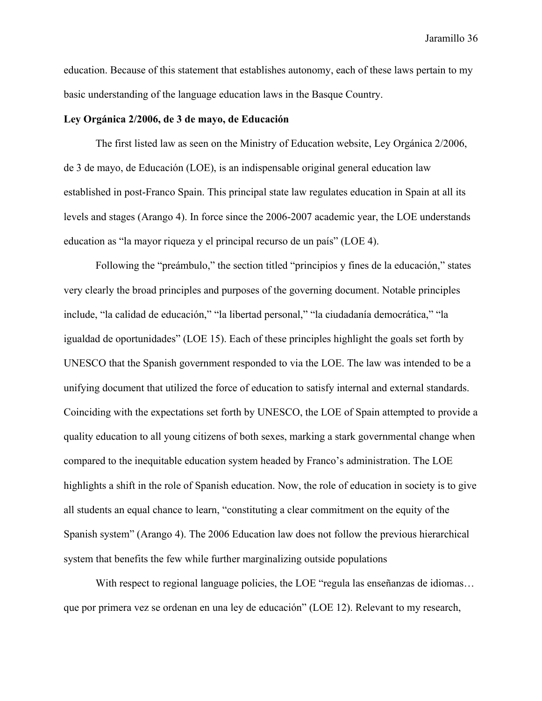education. Because of this statement that establishes autonomy, each of these laws pertain to my basic understanding of the language education laws in the Basque Country.

# **Ley Orgánica 2/2006, de 3 de mayo, de Educación**

The first listed law as seen on the Ministry of Education website, Ley Orgánica 2/2006, de 3 de mayo, de Educación (LOE), is an indispensable original general education law established in post-Franco Spain. This principal state law regulates education in Spain at all its levels and stages (Arango 4). In force since the 2006-2007 academic year, the LOE understands education as "la mayor riqueza y el principal recurso de un país" (LOE 4).

Following the "preámbulo," the section titled "principios y fines de la educación," states very clearly the broad principles and purposes of the governing document. Notable principles include, "la calidad de educación," "la libertad personal," "la ciudadanía democrática," "la igualdad de oportunidades" (LOE 15). Each of these principles highlight the goals set forth by UNESCO that the Spanish government responded to via the LOE. The law was intended to be a unifying document that utilized the force of education to satisfy internal and external standards. Coinciding with the expectations set forth by UNESCO, the LOE of Spain attempted to provide a quality education to all young citizens of both sexes, marking a stark governmental change when compared to the inequitable education system headed by Franco's administration. The LOE highlights a shift in the role of Spanish education. Now, the role of education in society is to give all students an equal chance to learn, "constituting a clear commitment on the equity of the Spanish system" (Arango 4). The 2006 Education law does not follow the previous hierarchical system that benefits the few while further marginalizing outside populations

With respect to regional language policies, the LOE "regula las enseñanzas de idiomas... que por primera vez se ordenan en una ley de educación" (LOE 12). Relevant to my research,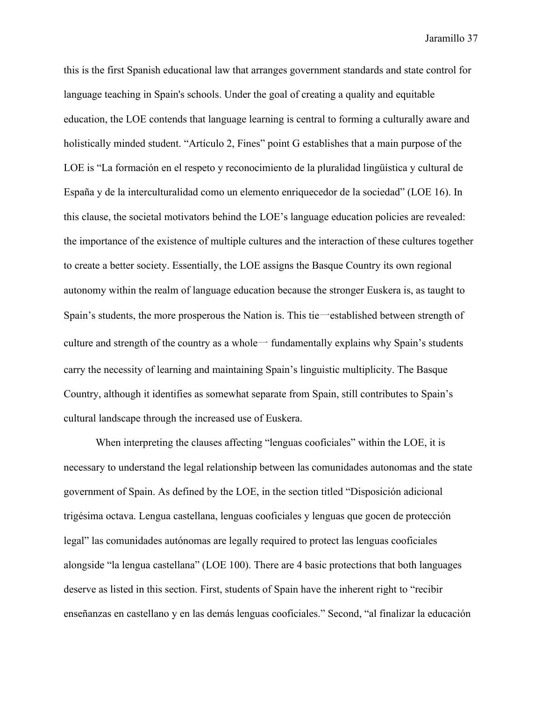this is the first Spanish educational law that arranges government standards and state control for language teaching in Spain's schools. Under the goal of creating a quality and equitable education, the LOE contends that language learning is central to forming a culturally aware and holistically minded student. "Artículo 2, Fines" point G establishes that a main purpose of the LOE is "La formación en el respeto y reconocimiento de la pluralidad lingüística y cultural de España y de la interculturalidad como un elemento enriquecedor de la sociedad" (LOE 16). In this clause, the societal motivators behind the LOE's language education policies are revealed: the importance of the existence of multiple cultures and the interaction of these cultures together to create a better society. Essentially, the LOE assigns the Basque Country its own regional autonomy within the realm of language education because the stronger Euskera is, as taught to Spain's students, the more prosperous the Nation is. This tie一established between strength of culture and strength of the country as a whole  $\rightarrow$  fundamentally explains why Spain's students carry the necessity of learning and maintaining Spain's linguistic multiplicity. The Basque Country, although it identifies as somewhat separate from Spain, still contributes to Spain's cultural landscape through the increased use of Euskera.

When interpreting the clauses affecting "lenguas cooficiales" within the LOE, it is necessary to understand the legal relationship between las comunidades autonomas and the state government of Spain. As defined by the LOE, in the section titled "Disposición adicional trigesima octava. Lengua castellana, lenguas cooficiales y lenguas que gocen de protección legal" las comunidades autónomas are legally required to protect las lenguas cooficiales alongside "la lengua castellana" (LOE 100). There are 4 basic protections that both languages deserve as listed in this section. First, students of Spain have the inherent right to "recibir enseñanzas en castellano y en las demás lenguas cooficiales." Second, "al finalizar la educación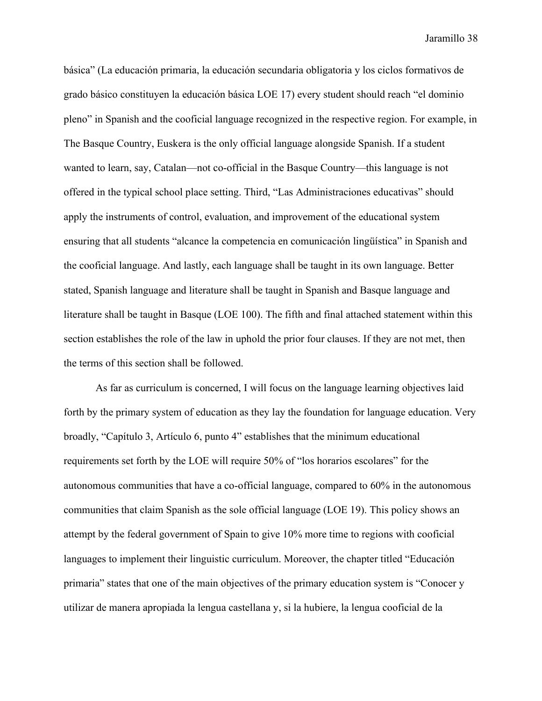básica" (La educación primaria, la educación secundaria obligatoria y los ciclos formativos de grado básico constituyen la educación básica LOE 17) every student should reach "el dominio pleno" in Spanish and the cooficial language recognized in the respective region. For example, in The Basque Country, Euskera is the only official language alongside Spanish. If a student wanted to learn, say, Catalan—not co-official in the Basque Country—this language is not offered in the typical school place setting. Third, "Las Administraciones educativas" should apply the instruments of control, evaluation, and improvement of the educational system ensuring that all students "alcance la competencia en comunicación lingüística" in Spanish and the cooficial language. And lastly, each language shall be taught in its own language. Better stated, Spanish language and literature shall be taught in Spanish and Basque language and literature shall be taught in Basque (LOE 100). The fifth and final attached statement within this section establishes the role of the law in uphold the prior four clauses. If they are not met, then the terms of this section shall be followed.

As far as curriculum is concerned, I will focus on the language learning objectives laid forth by the primary system of education as they lay the foundation for language education. Very broadly, "Capítulo 3, Artículo 6, punto 4" establishes that the minimum educational requirements set forth by the LOE will require 50% of "los horarios escolares" for the autonomous communities that have a co-official language, compared to 60% in the autonomous communities that claim Spanish as the sole official language (LOE 19). This policy shows an attempt by the federal government of Spain to give 10% more time to regions with cooficial languages to implement their linguistic curriculum. Moreover, the chapter titled "Educación primaria" states that one of the main objectives of the primary education system is "Conocer y utilizar de manera apropiada la lengua castellana y, si la hubiere, la lengua cooficial de la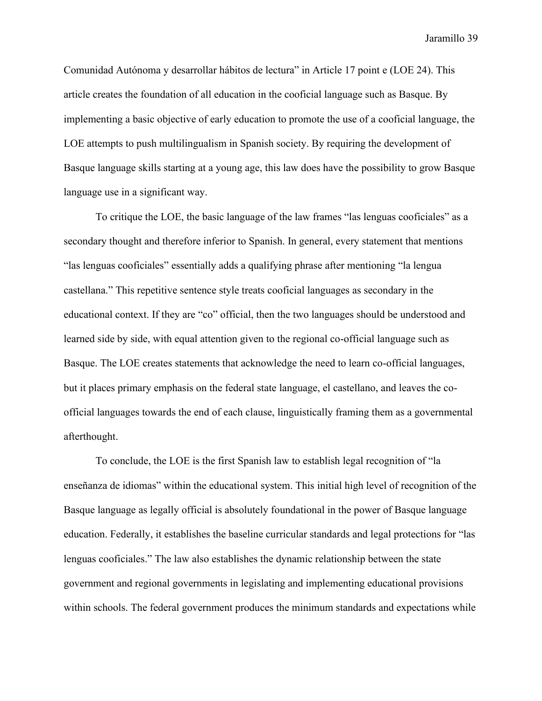Comunidad Autónoma y desarrollar hábitos de lectura" in Article 17 point e (LOE 24). This article creates the foundation of all education in the cooficial language such as Basque. By implementing a basic objective of early education to promote the use of a cooficial language, the LOE attempts to push multilingualism in Spanish society. By requiring the development of Basque language skills starting at a young age, this law does have the possibility to grow Basque language use in a significant way.

To critique the LOE, the basic language of the law frames "las lenguas cooficiales" as a secondary thought and therefore inferior to Spanish. In general, every statement that mentions "las lenguas cooficiales" essentially adds a qualifying phrase after mentioning "la lengua castellana." This repetitive sentence style treats cooficial languages as secondary in the educational context. If they are "co" official, then the two languages should be understood and learned side by side, with equal attention given to the regional co-official language such as Basque. The LOE creates statements that acknowledge the need to learn co-official languages, but it places primary emphasis on the federal state language, el castellano, and leaves the coofficial languages towards the end of each clause, linguistically framing them as a governmental afterthought.

To conclude, the LOE is the first Spanish law to establish legal recognition of "la enseñanza de idiomas" within the educational system. This initial high level of recognition of the Basque language as legally official is absolutely foundational in the power of Basque language education. Federally, it establishes the baseline curricular standards and legal protections for "las lenguas cooficiales." The law also establishes the dynamic relationship between the state government and regional governments in legislating and implementing educational provisions within schools. The federal government produces the minimum standards and expectations while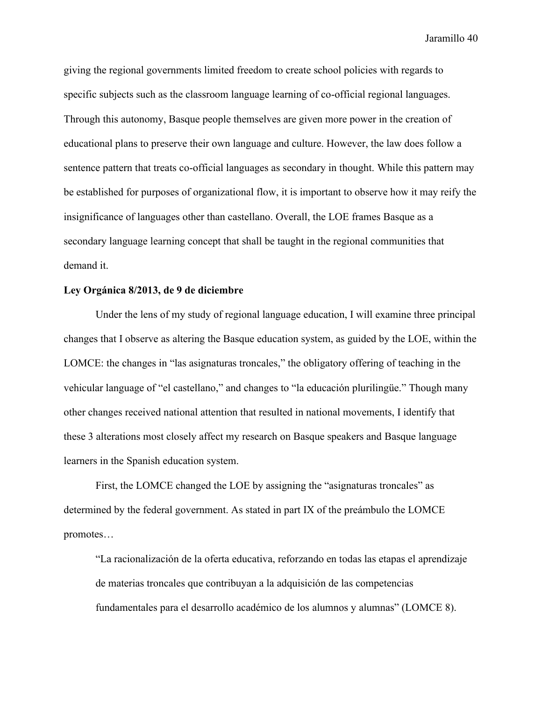giving the regional governments limited freedom to create school policies with regards to specific subjects such as the classroom language learning of co-official regional languages. Through this autonomy, Basque people themselves are given more power in the creation of educational plans to preserve their own language and culture. However, the law does follow a sentence pattern that treats co-official languages as secondary in thought. While this pattern may be established for purposes of organizational flow, it is important to observe how it may reify the insignificance of languages other than castellano. Overall, the LOE frames Basque as a secondary language learning concept that shall be taught in the regional communities that demand it.

# **Ley Orgánica 8/2013, de 9 de diciembre**

Under the lens of my study of regional language education, I will examine three principal changes that I observe as altering the Basque education system, as guided by the LOE, within the LOMCE: the changes in "las asignaturas troncales," the obligatory offering of teaching in the vehicular language of "el castellano," and changes to "la educación plurilingüe." Though many other changes received national attention that resulted in national movements, I identify that these 3 alterations most closely affect my research on Basque speakers and Basque language learners in the Spanish education system.

First, the LOMCE changed the LOE by assigning the "asignaturas troncales" as determined by the federal government. As stated in part IX of the preámbulo the LOMCE promotes…

"La racionalización de la oferta educativa, reforzando en todas las etapas el aprendizaje de materias troncales que contribuyan a la adquisición de las competencias fundamentales para el desarrollo académico de los alumnos y alumnas" (LOMCE 8).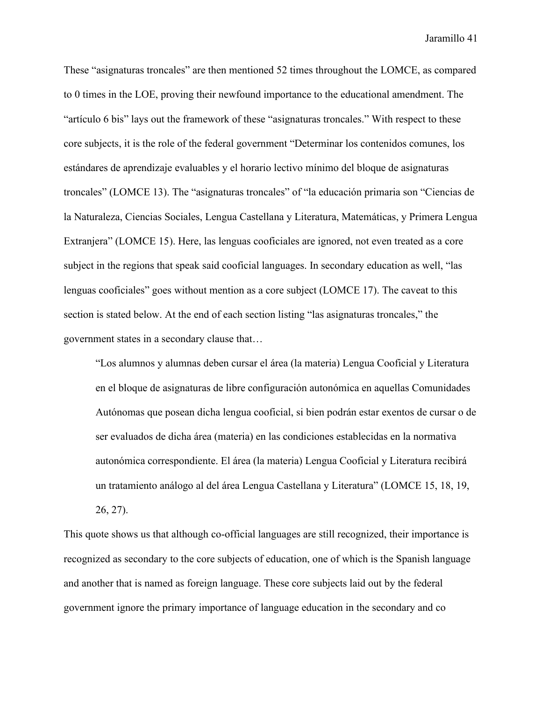These "asignaturas troncales" are then mentioned 52 times throughout the LOMCE, as compared to 0 times in the LOE, proving their newfound importance to the educational amendment. The "artículo 6 bis" lays out the framework of these "asignaturas troncales." With respect to these core subjects, it is the role of the federal government "Determinar los contenidos comunes, los estándares de aprendizaje evaluables y el horario lectivo mínimo del bloque de asignaturas troncales" (LOMCE 13). The "asignaturas troncales" of "la educación primaria son "Ciencias de la Naturaleza, Ciencias Sociales, Lengua Castellana y Literatura, Matemáticas, y Primera Lengua Extranjera" (LOMCE 15). Here, las lenguas cooficiales are ignored, not even treated as a core subject in the regions that speak said cooficial languages. In secondary education as well, "las lenguas cooficiales" goes without mention as a core subject (LOMCE 17). The caveat to this section is stated below. At the end of each section listing "las asignaturas troncales," the government states in a secondary clause that…

"Los alumnos y alumnas deben cursar el área (la materia) Lengua Cooficial y Literatura en el bloque de asignaturas de libre configuración autonómica en aquellas Comunidades Autónomas que posean dicha lengua cooficial, si bien podrán estar exentos de cursar o de ser evaluados de dicha área (materia) en las condiciones establecidas en la normativa autonómica correspondiente. El área (la materia) Lengua Cooficial y Literatura recibirá un tratamiento análogo al del área Lengua Castellana y Literatura" (LOMCE 15, 18, 19, 26, 27).

This quote shows us that although co-official languages are still recognized, their importance is recognized as secondary to the core subjects of education, one of which is the Spanish language and another that is named as foreign language. These core subjects laid out by the federal government ignore the primary importance of language education in the secondary and co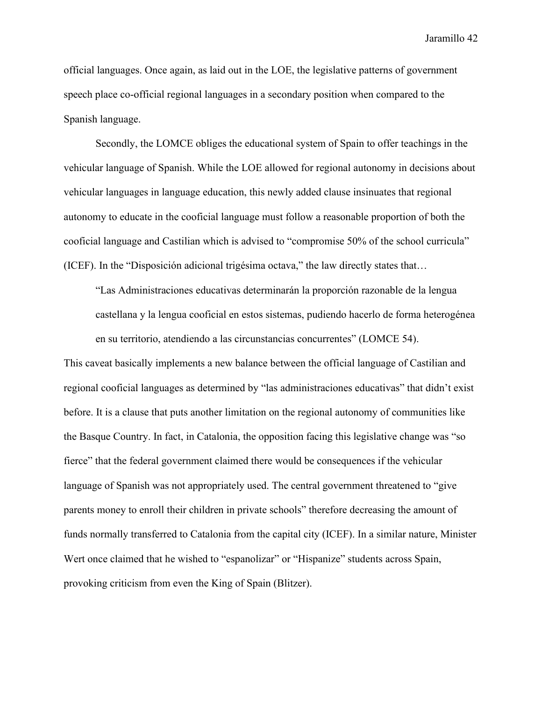official languages. Once again, as laid out in the LOE, the legislative patterns of government speech place co-official regional languages in a secondary position when compared to the Spanish language.

Secondly, the LOMCE obliges the educational system of Spain to offer teachings in the vehicular language of Spanish. While the LOE allowed for regional autonomy in decisions about vehicular languages in language education, this newly added clause insinuates that regional autonomy to educate in the cooficial language must follow a reasonable proportion of both the cooficial language and Castilian which is advised to "compromise 50% of the school curricula" (ICEF). In the "Disposición adicional trigesima octava," the law directly states that…

"Las Administraciones educativas determinarán la proporción razonable de la lengua castellana y la lengua cooficial en estos sistemas, pudiendo hacerlo de forma heterogenea en su territorio, atendiendo a las circunstancias concurrentes" (LOMCE 54).

This caveat basically implements a new balance between the official language of Castilian and regional cooficial languages as determined by "las administraciones educativas" that didn't exist before. It is a clause that puts another limitation on the regional autonomy of communities like the Basque Country. In fact, in Catalonia, the opposition facing this legislative change was "so fierce" that the federal government claimed there would be consequences if the vehicular language of Spanish was not appropriately used. The central government threatened to "give" parents money to enroll their children in private schools" therefore decreasing the amount of funds normally transferred to Catalonia from the capital city (ICEF). In a similar nature, Minister Wert once claimed that he wished to "espanolizar" or "Hispanize" students across Spain, provoking criticism from even the King of Spain (Blitzer).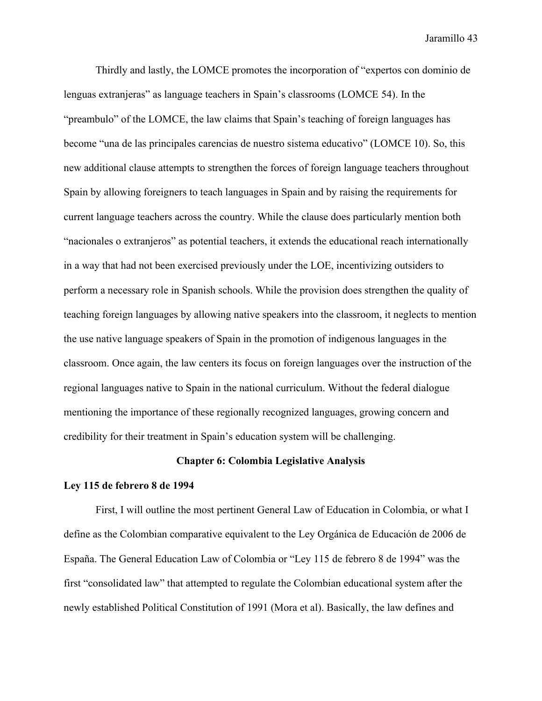Thirdly and lastly, the LOMCE promotes the incorporation of "expertos con dominio de lenguas extranjeras" as language teachers in Spain's classrooms (LOMCE 54). In the "preambulo" of the LOMCE, the law claims that Spain's teaching of foreign languages has become "una de las principales carencias de nuestro sistema educativo" (LOMCE 10). So, this new additional clause attempts to strengthen the forces of foreign language teachers throughout Spain by allowing foreigners to teach languages in Spain and by raising the requirements for current language teachers across the country. While the clause does particularly mention both "nacionales o extranjeros" as potential teachers, it extends the educational reach internationally in a way that had not been exercised previously under the LOE, incentivizing outsiders to perform a necessary role in Spanish schools. While the provision does strengthen the quality of teaching foreign languages by allowing native speakers into the classroom, it neglects to mention the use native language speakers of Spain in the promotion of indigenous languages in the classroom. Once again, the law centers its focus on foreign languages over the instruction of the regional languages native to Spain in the national curriculum. Without the federal dialogue mentioning the importance of these regionally recognized languages, growing concern and credibility for their treatment in Spain's education system will be challenging.

### **Chapter 6: Colombia Legislative Analysis**

#### **Ley 115 de febrero 8 de 1994**

First, I will outline the most pertinent General Law of Education in Colombia, or what I define as the Colombian comparative equivalent to the Ley Orgánica de Educación de 2006 de España. The General Education Law of Colombia or "Ley 115 de febrero 8 de 1994" was the first "consolidated law" that attempted to regulate the Colombian educational system after the newly established Political Constitution of 1991 (Mora et al). Basically, the law defines and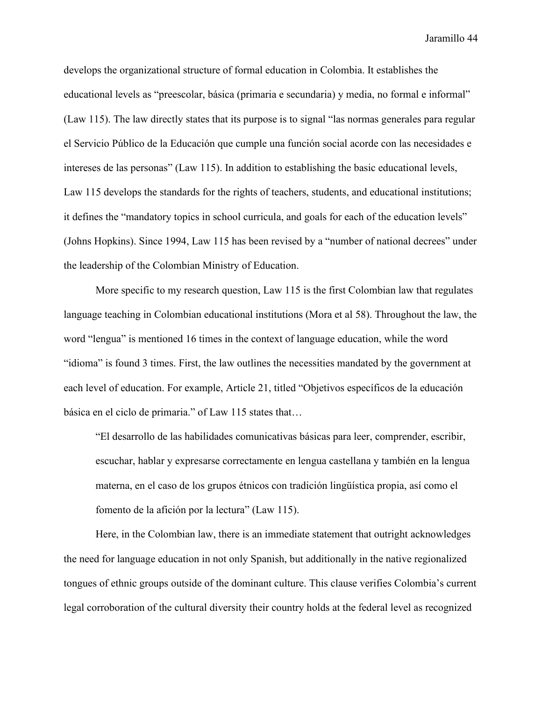develops the organizational structure of formal education in Colombia. It establishes the educational levels as "preescolar, básica (primaria e secundaria) y media, no formal e informal" (Law 115). The law directly states that its purpose is to signal "las normas generales para regular el Servicio Publico de la Educación que cumple una función social acorde con las necesidades e intereses de las personas" (Law 115). In addition to establishing the basic educational levels, Law 115 develops the standards for the rights of teachers, students, and educational institutions; it defines the "mandatory topics in school curricula, and goals for each of the education levels" (Johns Hopkins). Since 1994, Law 115 has been revised by a "number of national decrees" under the leadership of the Colombian Ministry of Education.

More specific to my research question, Law 115 is the first Colombian law that regulates language teaching in Colombian educational institutions (Mora et al 58). Throughout the law, the word "lengua" is mentioned 16 times in the context of language education, while the word "idioma" is found 3 times. First, the law outlines the necessities mandated by the government at each level of education. For example, Article 21, titled "Objetivos específicos de la educación básica en el ciclo de primaria." of Law 115 states that…

"El desarrollo de las habilidades comunicativas básicas para leer, comprender, escribir, escuchar, hablar y expresarse correctamente en lengua castellana y tambien en la lengua materna, en el caso de los grupos etnicos con tradición lingüística propia, así como el fomento de la afición por la lectura" (Law 115).

Here, in the Colombian law, there is an immediate statement that outright acknowledges the need for language education in not only Spanish, but additionally in the native regionalized tongues of ethnic groups outside of the dominant culture. This clause verifies Colombia's current legal corroboration of the cultural diversity their country holds at the federal level as recognized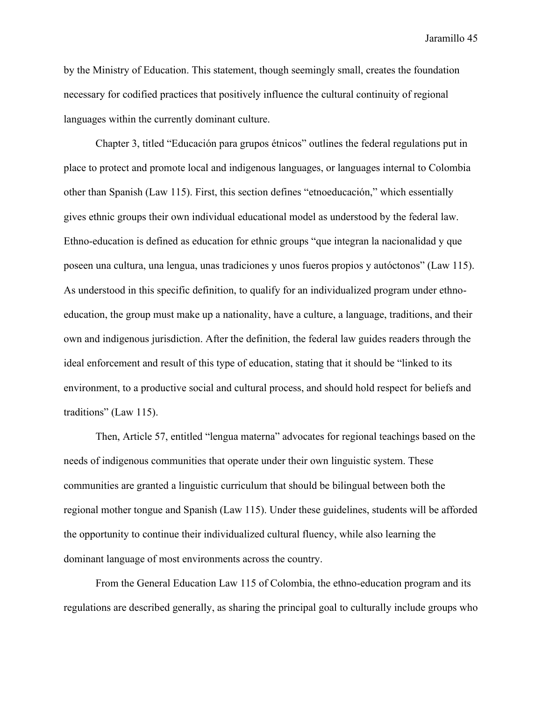by the Ministry of Education. This statement, though seemingly small, creates the foundation necessary for codified practices that positively influence the cultural continuity of regional languages within the currently dominant culture.

Chapter 3, titled "Educación para grupos etnicos" outlines the federal regulations put in place to protect and promote local and indigenous languages, or languages internal to Colombia other than Spanish (Law 115). First, this section defines "etnoeducación," which essentially gives ethnic groups their own individual educational model as understood by the federal law. Ethno-education is defined as education for ethnic groups "que integran la nacionalidad y que poseen una cultura, una lengua, unas tradiciones y unos fueros propios y autóctonos" (Law 115). As understood in this specific definition, to qualify for an individualized program under ethnoeducation, the group must make up a nationality, have a culture, a language, traditions, and their own and indigenous jurisdiction. After the definition, the federal law guides readers through the ideal enforcement and result of this type of education, stating that it should be "linked to its environment, to a productive social and cultural process, and should hold respect for beliefs and traditions" (Law 115).

Then, Article 57, entitled "lengua materna" advocates for regional teachings based on the needs of indigenous communities that operate under their own linguistic system. These communities are granted a linguistic curriculum that should be bilingual between both the regional mother tongue and Spanish (Law 115). Under these guidelines, students will be afforded the opportunity to continue their individualized cultural fluency, while also learning the dominant language of most environments across the country.

From the General Education Law 115 of Colombia, the ethno-education program and its regulations are described generally, as sharing the principal goal to culturally include groups who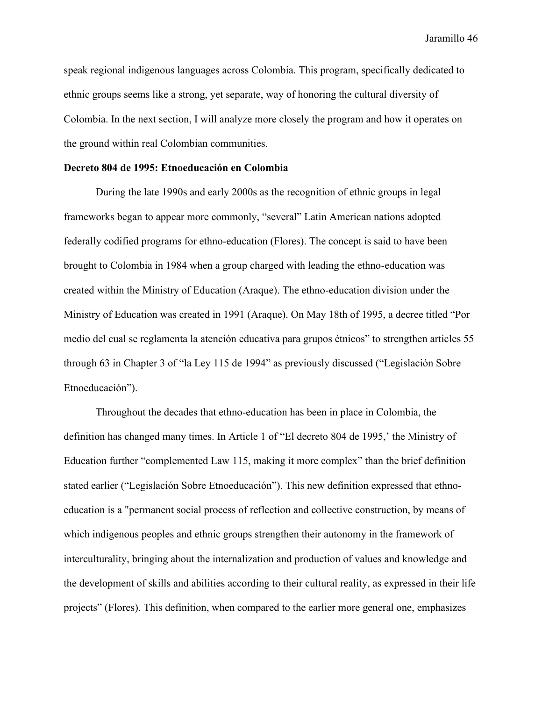speak regional indigenous languages across Colombia. This program, specifically dedicated to ethnic groups seems like a strong, yet separate, way of honoring the cultural diversity of Colombia. In the next section, I will analyze more closely the program and how it operates on the ground within real Colombian communities.

#### **Decreto 804 de 1995: Etnoeducación en Colombia**

During the late 1990s and early 2000s as the recognition of ethnic groups in legal frameworks began to appear more commonly, "several" Latin American nations adopted federally codified programs for ethno-education (Flores). The concept is said to have been brought to Colombia in 1984 when a group charged with leading the ethno-education was created within the Ministry of Education (Araque). The ethno-education division under the Ministry of Education was created in 1991 (Araque). On May 18th of 1995, a decree titled "Por medio del cual se reglamenta la atención educativa para grupos etnicos" to strengthen articles 55 through 63 in Chapter 3 of "la Ley 115 de 1994" as previously discussed ("Legislación Sobre Etnoeducación").

Throughout the decades that ethno-education has been in place in Colombia, the definition has changed many times. In Article 1 of "El decreto 804 de 1995,' the Ministry of Education further "complemented Law 115, making it more complex" than the brief definition stated earlier ("Legislación Sobre Etnoeducación"). This new definition expressed that ethnoeducation is a "permanent social process of reflection and collective construction, by means of which indigenous peoples and ethnic groups strengthen their autonomy in the framework of interculturality, bringing about the internalization and production of values and knowledge and the development of skills and abilities according to their cultural reality, as expressed in their life projects" (Flores). This definition, when compared to the earlier more general one, emphasizes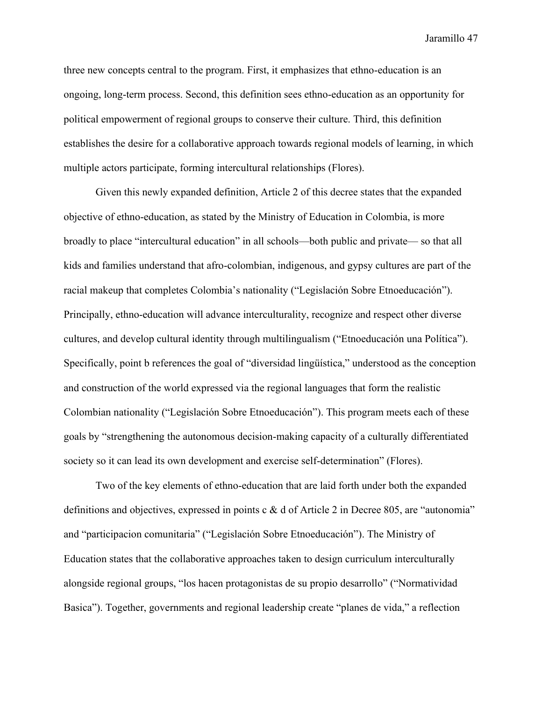three new concepts central to the program. First, it emphasizes that ethno-education is an ongoing, long-term process. Second, this definition sees ethno-education as an opportunity for political empowerment of regional groups to conserve their culture. Third, this definition establishes the desire for a collaborative approach towards regional models of learning, in which multiple actors participate, forming intercultural relationships (Flores).

Given this newly expanded definition, Article 2 of this decree states that the expanded objective of ethno-education, as stated by the Ministry of Education in Colombia, is more broadly to place "intercultural education" in all schools—both public and private— so that all kids and families understand that afro-colombian, indigenous, and gypsy cultures are part of the racial makeup that completes Colombia's nationality ("Legislación Sobre Etnoeducación"). Principally, ethno-education will advance interculturality, recognize and respect other diverse cultures, and develop cultural identity through multilingualism ("Etnoeducación una Política"). Specifically, point b references the goal of "diversidad lingüística," understood as the conception and construction of the world expressed via the regional languages that form the realistic Colombian nationality ("Legislación Sobre Etnoeducación"). This program meets each of these goals by "strengthening the autonomous decision-making capacity of a culturally differentiated society so it can lead its own development and exercise self-determination" (Flores).

Two of the key elements of ethno-education that are laid forth under both the expanded definitions and objectives, expressed in points c & d of Article 2 in Decree 805, are "autonomia" and "participacion comunitaria" ("Legislación Sobre Etnoeducación"). The Ministry of Education states that the collaborative approaches taken to design curriculum interculturally alongside regional groups, "los hacen protagonistas de su propio desarrollo" ("Normatividad Basica"). Together, governments and regional leadership create "planes de vida," a reflection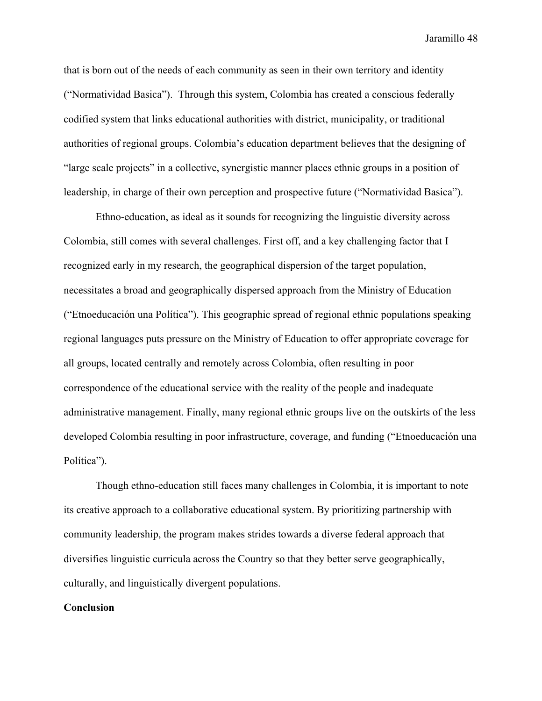that is born out of the needs of each community as seen in their own territory and identity ("Normatividad Basica"). Through this system, Colombia has created a conscious federally codified system that links educational authorities with district, municipality, or traditional authorities of regional groups. Colombia's education department believes that the designing of "large scale projects" in a collective, synergistic manner places ethnic groups in a position of leadership, in charge of their own perception and prospective future ("Normatividad Basica").

Ethno-education, as ideal as it sounds for recognizing the linguistic diversity across Colombia, still comes with several challenges. First off, and a key challenging factor that I recognized early in my research, the geographical dispersion of the target population, necessitates a broad and geographically dispersed approach from the Ministry of Education ("Etnoeducación una Política"). This geographic spread of regional ethnic populations speaking regional languages puts pressure on the Ministry of Education to offer appropriate coverage for all groups, located centrally and remotely across Colombia, often resulting in poor correspondence of the educational service with the reality of the people and inadequate administrative management. Finally, many regional ethnic groups live on the outskirts of the less developed Colombia resulting in poor infrastructure, coverage, and funding ("Etnoeducación una Política").

Though ethno-education still faces many challenges in Colombia, it is important to note its creative approach to a collaborative educational system. By prioritizing partnership with community leadership, the program makes strides towards a diverse federal approach that diversifies linguistic curricula across the Country so that they better serve geographically, culturally, and linguistically divergent populations.

#### **Conclusion**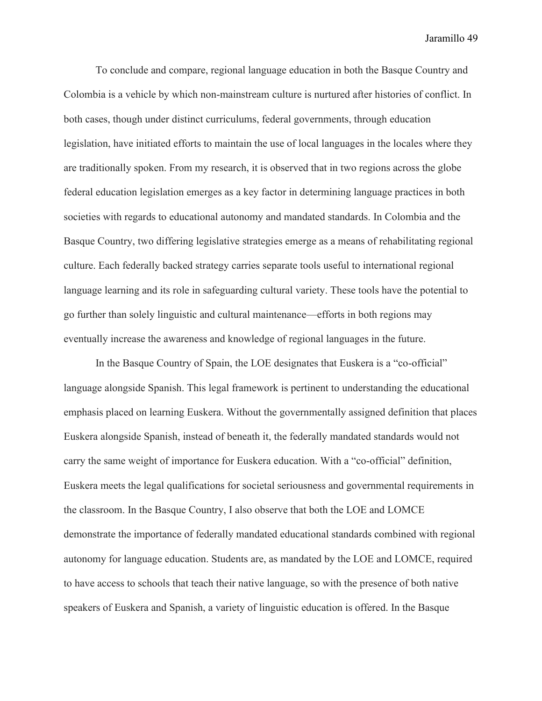To conclude and compare, regional language education in both the Basque Country and Colombia is a vehicle by which non-mainstream culture is nurtured after histories of conflict. In both cases, though under distinct curriculums, federal governments, through education legislation, have initiated efforts to maintain the use of local languages in the locales where they are traditionally spoken. From my research, it is observed that in two regions across the globe federal education legislation emerges as a key factor in determining language practices in both societies with regards to educational autonomy and mandated standards. In Colombia and the Basque Country, two differing legislative strategies emerge as a means of rehabilitating regional culture. Each federally backed strategy carries separate tools useful to international regional language learning and its role in safeguarding cultural variety. These tools have the potential to go further than solely linguistic and cultural maintenance—efforts in both regions may eventually increase the awareness and knowledge of regional languages in the future.

In the Basque Country of Spain, the LOE designates that Euskera is a "co-official" language alongside Spanish. This legal framework is pertinent to understanding the educational emphasis placed on learning Euskera. Without the governmentally assigned definition that places Euskera alongside Spanish, instead of beneath it, the federally mandated standards would not carry the same weight of importance for Euskera education. With a "co-official" definition, Euskera meets the legal qualifications for societal seriousness and governmental requirements in the classroom. In the Basque Country, I also observe that both the LOE and LOMCE demonstrate the importance of federally mandated educational standards combined with regional autonomy for language education. Students are, as mandated by the LOE and LOMCE, required to have access to schools that teach their native language, so with the presence of both native speakers of Euskera and Spanish, a variety of linguistic education is offered. In the Basque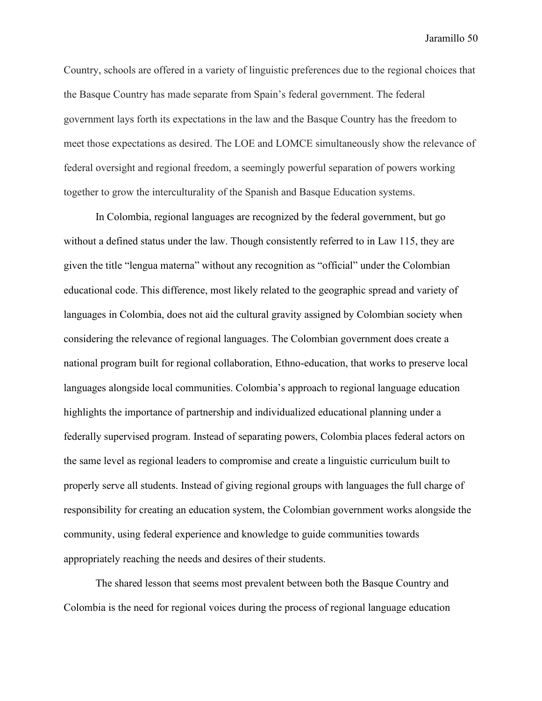Country, schools are offered in a variety of linguistic preferences due to the regional choices that the Basque Country has made separate from Spain's federal government. The federal government lays forth its expectations in the law and the Basque Country has the freedom to meet those expectations as desired. The LOE and LOMCE simultaneously show the relevance of federal oversight and regional freedom, a seemingly powerful separation of powers working together to grow the interculturality of the Spanish and Basque Education systems.

In Colombia, regional languages are recognized by the federal government, but go without a defined status under the law. Though consistently referred to in Law 115, they are given the title "lengua materna" without any recognition as "official" under the Colombian educational code. This difference, most likely related to the geographic spread and variety of languages in Colombia, does not aid the cultural gravity assigned by Colombian society when considering the relevance of regional languages. The Colombian government does create a national program built for regional collaboration, Ethno-education, that works to preserve local languages alongside local communities. Colombia's approach to regional language education highlights the importance of partnership and individualized educational planning under a federally supervised program. Instead of separating powers, Colombia places federal actors on the same level as regional leaders to compromise and create a linguistic curriculum built to properly serve all students. Instead of giving regional groups with languages the full charge of responsibility for creating an education system, the Colombian government works alongside the community, using federal experience and knowledge to guide communities towards appropriately reaching the needs and desires of their students.

The shared lesson that seems most prevalent between both the Basque Country and Colombia is the need for regional voices during the process of regional language education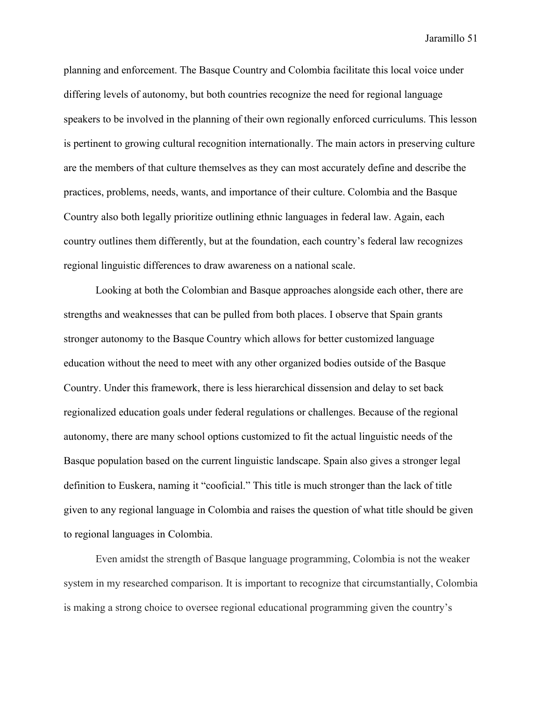planning and enforcement. The Basque Country and Colombia facilitate this local voice under differing levels of autonomy, but both countries recognize the need for regional language speakers to be involved in the planning of their own regionally enforced curriculums. This lesson is pertinent to growing cultural recognition internationally. The main actors in preserving culture are the members of that culture themselves as they can most accurately define and describe the practices, problems, needs, wants, and importance of their culture. Colombia and the Basque Country also both legally prioritize outlining ethnic languages in federal law. Again, each country outlines them differently, but at the foundation, each country's federal law recognizes regional linguistic differences to draw awareness on a national scale.

Looking at both the Colombian and Basque approaches alongside each other, there are strengths and weaknesses that can be pulled from both places. I observe that Spain grants stronger autonomy to the Basque Country which allows for better customized language education without the need to meet with any other organized bodies outside of the Basque Country. Under this framework, there is less hierarchical dissension and delay to set back regionalized education goals under federal regulations or challenges. Because of the regional autonomy, there are many school options customized to fit the actual linguistic needs of the Basque population based on the current linguistic landscape. Spain also gives a stronger legal definition to Euskera, naming it "cooficial." This title is much stronger than the lack of title given to any regional language in Colombia and raises the question of what title should be given to regional languages in Colombia.

Even amidst the strength of Basque language programming, Colombia is not the weaker system in my researched comparison. It is important to recognize that circumstantially, Colombia is making a strong choice to oversee regional educational programming given the country's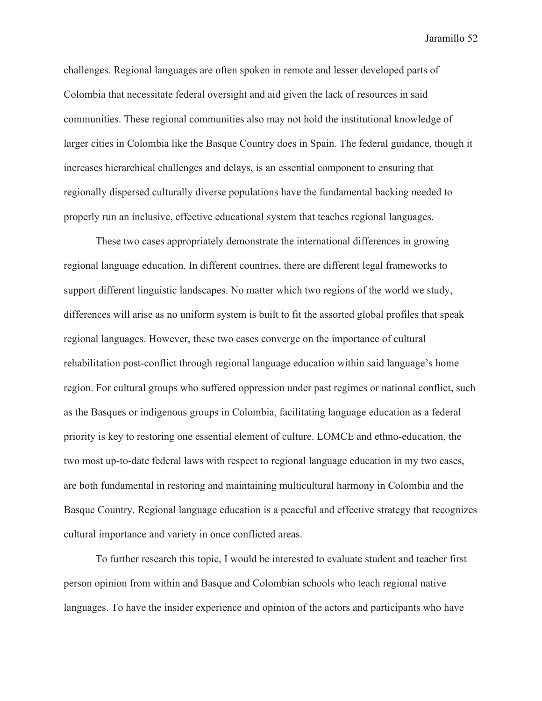challenges. Regional languages are often spoken in remote and lesser developed parts of Colombia that necessitate federal oversight and aid given the lack of resources in said communities. These regional communities also may not hold the institutional knowledge of larger cities in Colombia like the Basque Country does in Spain. The federal guidance, though it increases hierarchical challenges and delays, is an essential component to ensuring that regionally dispersed culturally diverse populations have the fundamental backing needed to properly run an inclusive, effective educational system that teaches regional languages.

These two cases appropriately demonstrate the international differences in growing regional language education. In different countries, there are different legal frameworks to support different linguistic landscapes. No matter which two regions of the world we study, differences will arise as no uniform system is built to fit the assorted global profiles that speak regional languages. However, these two cases converge on the importance of cultural rehabilitation post-conflict through regional language education within said language's home region. For cultural groups who suffered oppression under past regimes or national conflict, such as the Basques or indigenous groups in Colombia, facilitating language education as a federal priority is key to restoring one essential element of culture. LOMCE and ethno-education, the two most up-to-date federal laws with respect to regional language education in my two cases, are both fundamental in restoring and maintaining multicultural harmony in Colombia and the Basque Country. Regional language education is a peaceful and effective strategy that recognizes cultural importance and variety in once conflicted areas.

To further research this topic, I would be interested to evaluate student and teacher first person opinion from within and Basque and Colombian schools who teach regional native languages. To have the insider experience and opinion of the actors and participants who have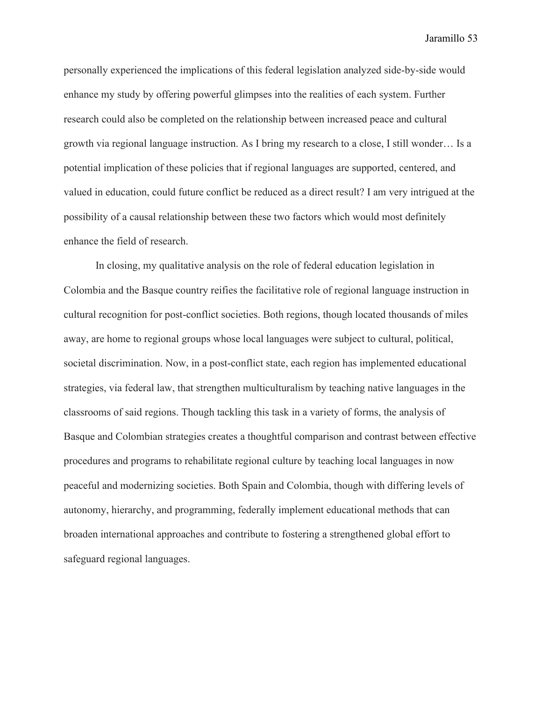personally experienced the implications of this federal legislation analyzed side-by-side would enhance my study by offering powerful glimpses into the realities of each system. Further research could also be completed on the relationship between increased peace and cultural growth via regional language instruction. As I bring my research to a close, I still wonder… Is a potential implication of these policies that if regional languages are supported, centered, and valued in education, could future conflict be reduced as a direct result? I am very intrigued at the possibility of a causal relationship between these two factors which would most definitely enhance the field of research.

In closing, my qualitative analysis on the role of federal education legislation in Colombia and the Basque country reifies the facilitative role of regional language instruction in cultural recognition for post-conflict societies. Both regions, though located thousands of miles away, are home to regional groups whose local languages were subject to cultural, political, societal discrimination. Now, in a post-conflict state, each region has implemented educational strategies, via federal law, that strengthen multiculturalism by teaching native languages in the classrooms of said regions. Though tackling this task in a variety of forms, the analysis of Basque and Colombian strategies creates a thoughtful comparison and contrast between effective procedures and programs to rehabilitate regional culture by teaching local languages in now peaceful and modernizing societies. Both Spain and Colombia, though with differing levels of autonomy, hierarchy, and programming, federally implement educational methods that can broaden international approaches and contribute to fostering a strengthened global effort to safeguard regional languages.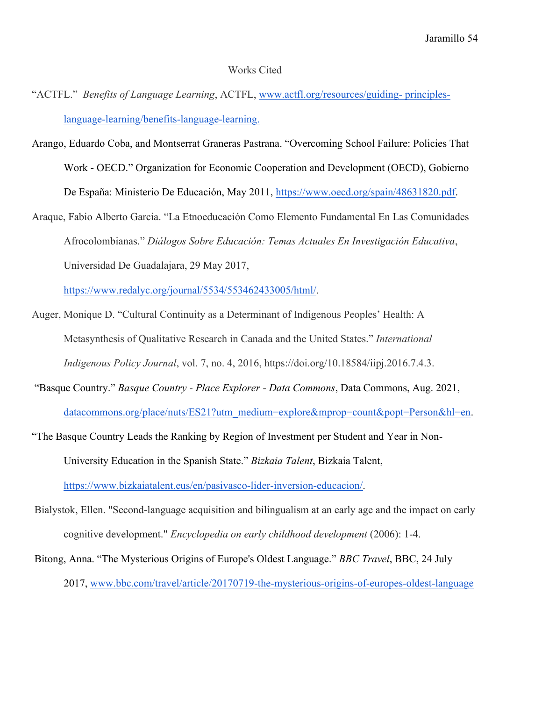#### Works Cited

- "ACTFL." *Benefits of Language Learning*, ACTFL, [www.actfl.org/resources/guiding-](http://www.actfl.org/resources/guiding-%20principles-language-learning/benefits-language-learning) principles[language-learning/benefits-language-learning.](http://www.actfl.org/resources/guiding-%20principles-language-learning/benefits-language-learning)
- Arango, Eduardo Coba, and Montserrat Graneras Pastrana. "Overcoming School Failure: Policies That Work - OECD." Organization for Economic Cooperation and Development (OECD), Gobierno De España: Ministerio De Educación, May 2011, [https://www.oecd.org/spain/48631820.pdf.](https://www.oecd.org/spain/48631820.pdf)
- Araque, Fabio Alberto Garcia. "La Etnoeducación Como Elemento Fundamental En Las Comunidades Afrocolombianas." *Diálogos Sobre Educación: Temas Actuales En Investigación Educativa*, Universidad De Guadalajara, 29 May 2017,

[https://www.redalyc.org/journal/5534/553462433005/html/.](https://www.redalyc.org/journal/5534/553462433005/html/)

- Auger, Monique D. "Cultural Continuity as a Determinant of Indigenous Peoples' Health: A Metasynthesis of Qualitative Research in Canada and the United States." *International Indigenous Policy Journal*, vol. 7, no. 4, 2016, https://doi.org/10.18584/iipj.2016.7.4.3.
- "Basque Country." *Basque Country - Place Explorer - Data Commons*, Data Commons, Aug. 2021,

[datacommons.org/place/nuts/ES21?utm\\_medium=explore&mprop=count&popt=Person&hl=en.](http://datacommons.org/place/nuts/ES21?utm_medium=explore&mprop=count&popt=Person&hl=en)

- "The Basque Country Leads the Ranking by Region of Investment per Student and Year in Non-University Education in the Spanish State." *Bizkaia Talent*, Bizkaia Talent, [https://www.bizkaiatalent.eus/en/pasivasco-lider-inversion-educacion/.](https://www.bizkaiatalent.eus/en/pasivasco-lider-inversion-educacion/)
- Bialystok, Ellen. "Second-language acquisition and bilingualism at an early age and the impact on early cognitive development." *Encyclopedia on early childhood development* (2006): 1-4.
- Bitong, Anna. "The Mysterious Origins of Europe's Oldest Language." *BBC Travel*, BBC, 24 July 2017, [www.bbc.com/travel/article/20170719-the-mysterious-origins-of-europes-oldest-language](http://www.bbc.com/travel/article/20170719-the-mysterious-origins-of-europes-oldest-language)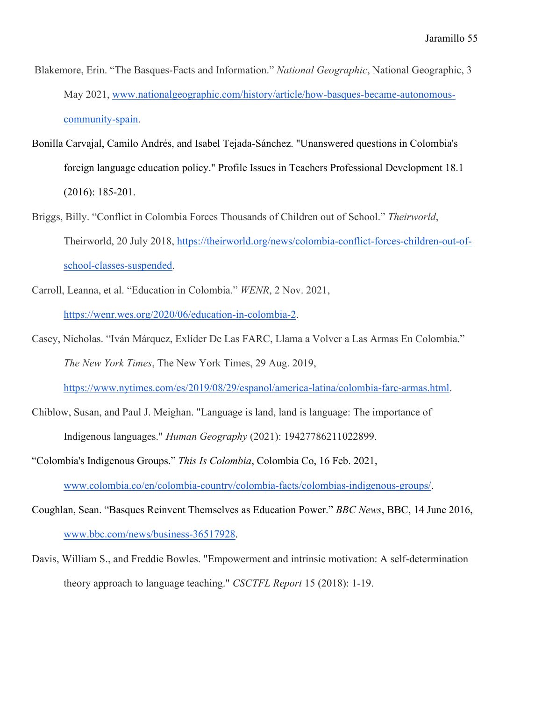- Blakemore, Erin. "The Basques-Facts and Information." *National Geographic*, National Geographic, 3 May 2021, [www.nationalgeographic.com/history/article/how-basques-became-autonomous](http://www.nationalgeographic.com/history/article/how-basques-became-autonomous-community-spain)[community-spain.](http://www.nationalgeographic.com/history/article/how-basques-became-autonomous-community-spain)
- Bonilla Carvajal, Camilo Andrés, and Isabel Tejada-Sánchez. "Unanswered questions in Colombia's foreign language education policy." Profile Issues in Teachers Professional Development 18.1 (2016): 185-201.
- Briggs, Billy. "Conflict in Colombia Forces Thousands of Children out of School." *Theirworld*, Theirworld, 20 July 2018, [https://theirworld.org/news/colombia-conflict-forces-children-out-of](https://theirworld.org/news/colombia-conflict-forces-children-out-of-school-classes-suspended)[school-classes-suspended.](https://theirworld.org/news/colombia-conflict-forces-children-out-of-school-classes-suspended)
- Carroll, Leanna, et al. "Education in Colombia." *WENR*, 2 Nov. 2021, [https://wenr.wes.org/2020/06/education-in-colombia-2.](https://wenr.wes.org/2020/06/education-in-colombia-2)
- Casey, Nicholas. "Iván Márquez, Exlíder De Las FARC, Llama a Volver a Las Armas En Colombia." *The New York Times*, The New York Times, 29 Aug. 2019, [https://www.nytimes.com/es/2019/08/29/espanol/america-latina/colombia-farc-armas.html.](https://www.nytimes.com/es/2019/08/29/espanol/america-latina/colombia-farc-armas.html)
- Chiblow, Susan, and Paul J. Meighan. "Language is land, land is language: The importance of Indigenous languages." *Human Geography* (2021): 19427786211022899.
- "Colombia's Indigenous Groups." *This Is Colombia*, Colombia Co, 16 Feb. 2021, [www.colombia.co/en/colombia-country/colombia-facts/colombias-indigenous-groups/.](http://www.colombia.co/en/colombia-country/colombia-facts/colombias-indigenous-groups/)
- Coughlan, Sean. "Basques Reinvent Themselves as Education Power." *BBC News*, BBC, 14 June 2016[,](http://www.bbc.com/news/business-36517928) [www.bbc.com/news/business-36517928.](http://www.bbc.com/news/business-36517928)
- Davis, William S., and Freddie Bowles. "Empowerment and intrinsic motivation: A self-determination theory approach to language teaching." *CSCTFL Report* 15 (2018): 1-19.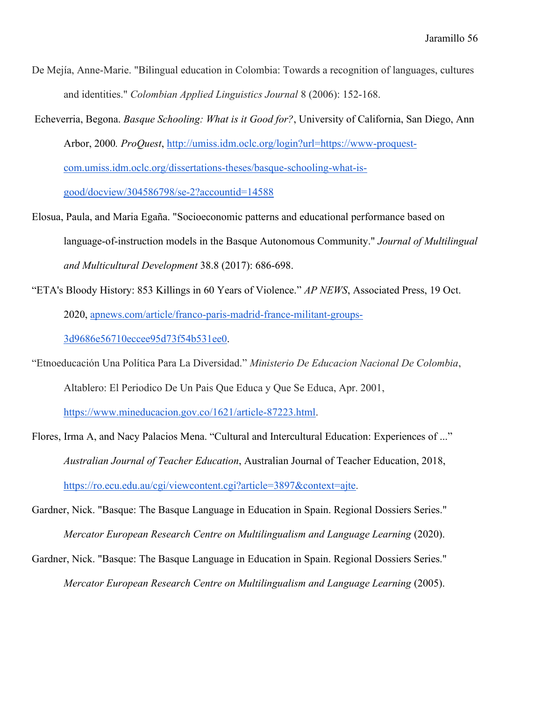- De Mejía, Anne-Marie. "Bilingual education in Colombia: Towards a recognition of languages, cultures and identities." *Colombian Applied Linguistics Journal* 8 (2006): 152-168.
- Echeverria, Begona. *Basque Schooling: What is it Good for?*, University of California, San Diego, Ann Arbor, 2000*. ProQuest*, [http://umiss.idm.oclc.org/login?url=https://www-proquest](http://umiss.idm.oclc.org/login?url=https://www-proquest-com.umiss.idm.oclc.org/dissertations-theses/basque-schooling-what-is-good/docview/304586798/se-2?accountid=14588)[com.umiss.idm.oclc.org/dissertations-theses/basque-schooling-what-is](http://umiss.idm.oclc.org/login?url=https://www-proquest-com.umiss.idm.oclc.org/dissertations-theses/basque-schooling-what-is-good/docview/304586798/se-2?accountid=14588)[good/docview/304586798/se-2?accountid=14588](http://umiss.idm.oclc.org/login?url=https://www-proquest-com.umiss.idm.oclc.org/dissertations-theses/basque-schooling-what-is-good/docview/304586798/se-2?accountid=14588)
- Elosua, Paula, and Maria Egaña. "Socioeconomic patterns and educational performance based on language-of-instruction models in the Basque Autonomous Community." *Journal of Multilingual and Multicultural Development* 38.8 (2017): 686-698.
- "ETA's Bloody History: 853 Killings in 60 Years of Violence." *AP NEWS*, Associated Press, 19 Oct. 2020, [apnews.com/article/franco-paris-madrid-france-militant-groups-](https://apnews.com/article/franco-paris-madrid-france-militant-groups-3d9686e56710eccee95d73f54b531ee0)[3d9686e56710eccee95d73f54b531ee0.](https://apnews.com/article/franco-paris-madrid-france-militant-groups-3d9686e56710eccee95d73f54b531ee0)
- "Etnoeducación Una Política Para La Diversidad." *Ministerio De Educacion Nacional De Colombia*, Altablero: El Periodico De Un Pais Que Educa y Que Se Educa, Apr. 2001,

[https://www.mineducacion.gov.co/1621/article-87223.html.](https://www.mineducacion.gov.co/1621/article-87223.html)

- Flores, Irma A, and Nacy Palacios Mena. "Cultural and Intercultural Education: Experiences of ..." *Australian Journal of Teacher Education*, Australian Journal of Teacher Education, 2018, [https://ro.ecu.edu.au/cgi/viewcontent.cgi?article=3897&context=ajte.](https://ro.ecu.edu.au/cgi/viewcontent.cgi?article=3897&context=ajte)
- Gardner, Nick. "Basque: The Basque Language in Education in Spain. Regional Dossiers Series." *Mercator European Research Centre on Multilingualism and Language Learning (2020).*
- Gardner, Nick. "Basque: The Basque Language in Education in Spain. Regional Dossiers Series." *Mercator European Research Centre on Multilingualism and Language Learning (2005).*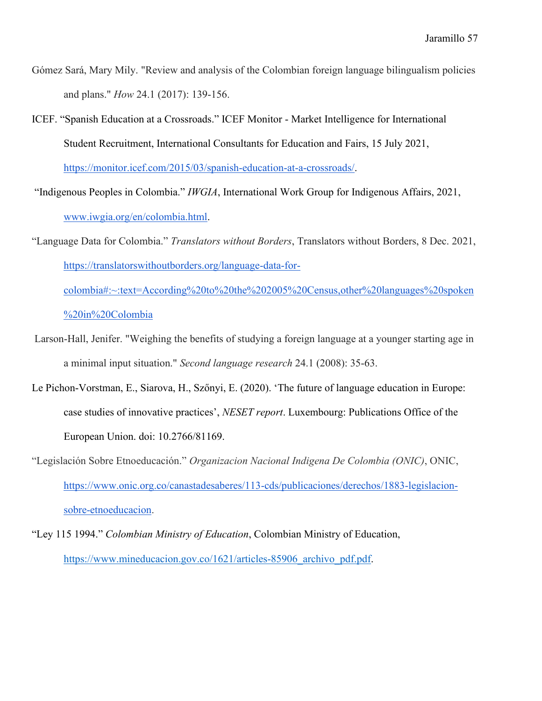- Gómez Sará, Mary Mily. "Review and analysis of the Colombian foreign language bilingualism policies and plans." *How* 24.1 (2017): 139-156.
- ICEF. "Spanish Education at a Crossroads." ICEF Monitor Market Intelligence for International Student Recruitment, International Consultants for Education and Fairs, 15 July 2021, [https://monitor.icef.com/2015/03/spanish-education-at-a-crossroads/.](https://monitor.icef.com/2015/03/spanish-education-at-a-crossroads/)
- "Indigenous Peoples in Colombia." *IWGIA*, International Work Group for Indigenous Affairs, 2021[,](http://www.iwgia.org/en/colombia.html) [www.iwgia.org/en/colombia.html.](http://www.iwgia.org/en/colombia.html)
- "Language Data for Colombia." *Translators without Borders*, Translators without Borders, 8 Dec. 2021, [https://translatorswithoutborders.org/language-data-for-](https://translatorswithoutborders.org/language-data-for-colombia#:~:text=According%20to%20the%202005%20Census,other%20languages%20spoken%20in%20Colombia)

[colombia#:~:text=According%20to%20the%202005%20Census,other%20languages%20spoken](https://translatorswithoutborders.org/language-data-for-colombia#:~:text=According%20to%20the%202005%20Census,other%20languages%20spoken%20in%20Colombia) [%20in%20Colombia](https://translatorswithoutborders.org/language-data-for-colombia#:~:text=According%20to%20the%202005%20Census,other%20languages%20spoken%20in%20Colombia)

- Larson-Hall, Jenifer. "Weighing the benefits of studying a foreign language at a younger starting age in a minimal input situation." *Second language research* 24.1 (2008): 35-63.
- Le Pichon-Vorstman, E., Siarova, H., Szőnyi, E. (2020). 'The future of language education in Europe: case studies of innovative practices', *NESET report*. Luxembourg: Publications Office of the European Union. doi: 10.2766/81169.
- "Legislación Sobre Etnoeducación." *Organizacion Nacional Indigena De Colombia (ONIC)*, ONIC, [https://www.onic.org.co/canastadesaberes/113-cds/publicaciones/derechos/1883-legislacion](https://www.onic.org.co/canastadesaberes/113-cds/publicaciones/derechos/1883-legislacion-sobre-etnoeducacion)[sobre-etnoeducacion.](https://www.onic.org.co/canastadesaberes/113-cds/publicaciones/derechos/1883-legislacion-sobre-etnoeducacion)
- "Ley 115 1994." *Colombian Ministry of Education*, Colombian Ministry of Education, https://www.mineducacion.gov.co/1621/articles-85906 archivo pdf.pdf.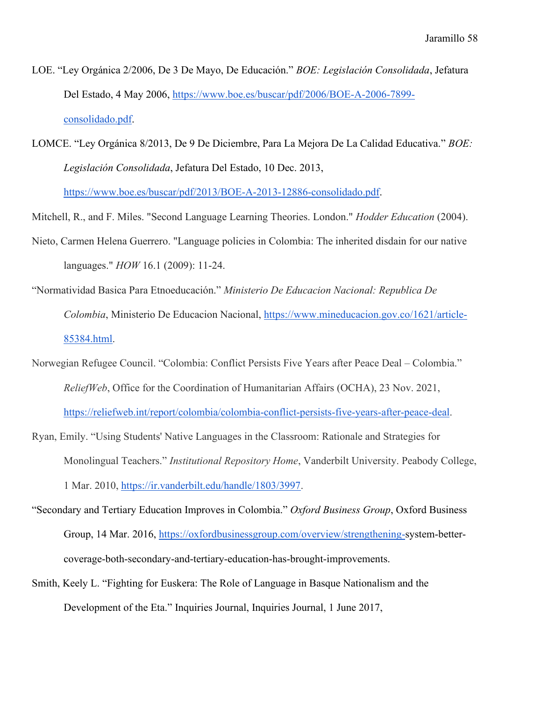- LOE. "Ley Orgánica 2/2006, De 3 De Mayo, De Educación." *BOE: Legislación Consolidada*, Jefatura Del Estado, 4 May 2006, [https://www.boe.es/buscar/pdf/2006/BOE-A-2006-7899](https://www.boe.es/buscar/pdf/2006/BOE-A-2006-7899-consolidado.pdf) [consolidado.pdf.](https://www.boe.es/buscar/pdf/2006/BOE-A-2006-7899-consolidado.pdf)
- LOMCE. "Ley Orgánica 8/2013, De 9 De Diciembre, Para La Mejora De La Calidad Educativa." *BOE: Legislación Consolidada*, Jefatura Del Estado, 10 Dec. 2013,

[https://www.boe.es/buscar/pdf/2013/BOE-A-2013-12886-consolidado.pdf.](https://www.boe.es/buscar/pdf/2013/BOE-A-2013-12886-consolidado.pdf)

Mitchell, R., and F. Miles. "Second Language Learning Theories. London." *Hodder Education* (2004).

- Nieto, Carmen Helena Guerrero. "Language policies in Colombia: The inherited disdain for our native languages." *HOW* 16.1 (2009): 11-24.
- "Normatividad Basica Para Etnoeducación." *Ministerio De Educacion Nacional: Republica De Colombia*, Ministerio De Educacion Nacional, [https://www.mineducacion.gov.co/1621/article-](https://www.mineducacion.gov.co/1621/article-85384.html)[85384.html.](https://www.mineducacion.gov.co/1621/article-85384.html)
- Norwegian Refugee Council. "Colombia: Conflict Persists Five Years after Peace Deal Colombia." *ReliefWeb*, Office for the Coordination of Humanitarian Affairs (OCHA), 23 Nov. 2021, [https://reliefweb.int/report/colombia/colombia-conflict-persists-five-years-after-peace-deal.](https://reliefweb.int/report/colombia/colombia-conflict-persists-five-years-after-peace-deal)
- Ryan, Emily. "Using Students' Native Languages in the Classroom: Rationale and Strategies for Monolingual Teachers." *Institutional Repository Home*, Vanderbilt University. Peabody College, 1 Mar. 2010, [https://ir.vanderbilt.edu/handle/1803/3997.](https://ir.vanderbilt.edu/handle/1803/3997)
- "Secondary and Tertiary Education Improves in Colombia." *Oxford Business Group*, Oxford Business Group, 14 Mar. 2016, [https://oxfordbusinessgroup.com/overview/strengthening-s](https://oxfordbusinessgroup.com/overview/strengthening-)ystem-bettercoverage-both-secondary-and-tertiary-education-has-brought-improvements.
- Smith, Keely L. "Fighting for Euskera: The Role of Language in Basque Nationalism and the Development of the Eta." Inquiries Journal, Inquiries Journal, 1 June 2017[,](http://www.inquiriesjournal.com/articles/1651/fighting-for-euskera-the-role-of-language-in-basque-nationalism-and-the-development-of-the-eta)